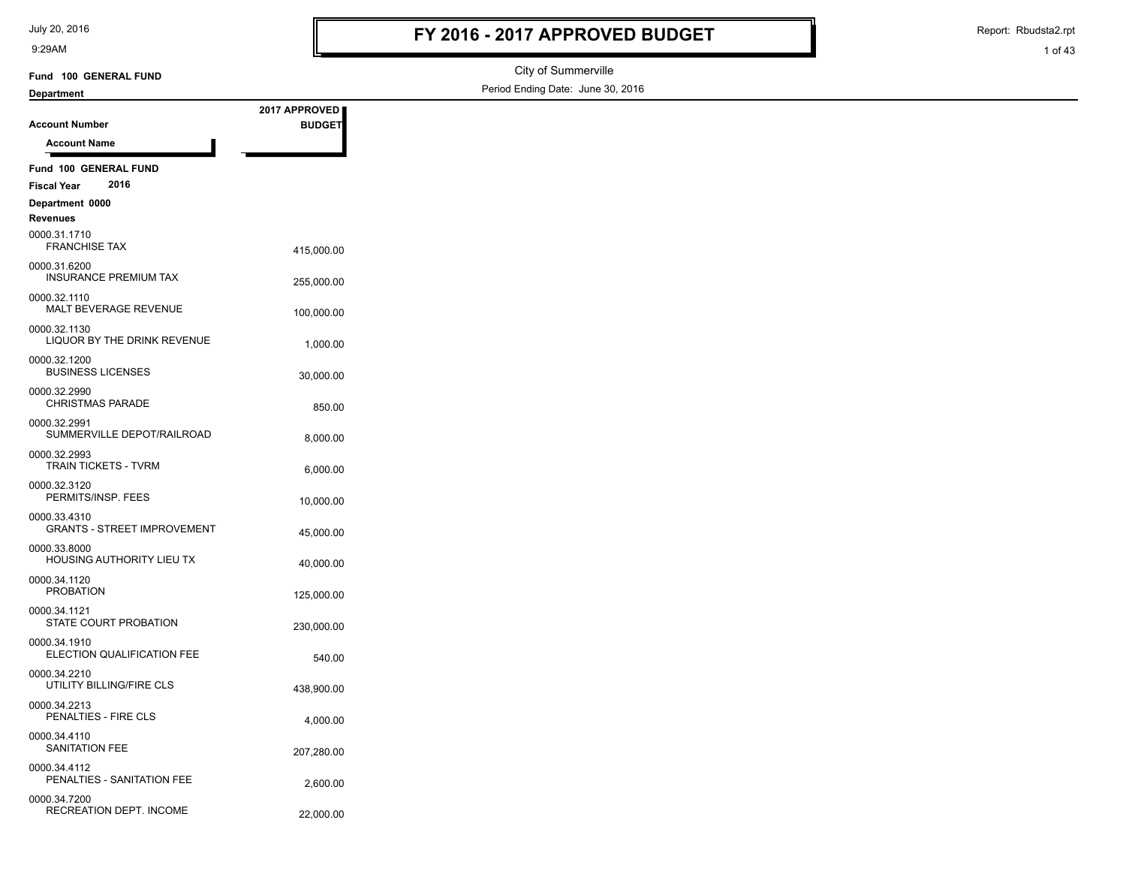July 20, 2016

9:29AM

# **FY 2016 - 2017 APPROVED BUDGET**

Report: Rbudsta2.rpt

1 of 43

#### City of Summerville Period Ending Date: June 30, 2016 **Account Number Department Fund 100 GENERAL FUND 2017 APPROVED BUDGET Account Name Fund 100 GENERAL FUND Fiscal Year 2016 Department 0000 Revenues** 415,000.00 FRANCHISE TAX 0000.31.1710 INSURANCE PREMIUM TAX 255,000.00 0000.31.6200 MALT BEVERAGE REVENUE<br>
100.000.00 0000.32.1110 LIQUOR BY THE DRINK REVENUE 1,000.00 0000.32.1130 30,000.00 BUSINESS LICENSES 0000.32.1200 850.00 CHRISTMAS PARADE 0000.32.2990 8,000.00 SUMMERVILLE DEPOT/RAILROAD 0000.32.2991 6,000.00 TRAIN TICKETS - TVRM 0000.32.2993 PERMITS/INSP. FEES
10,000.00 0000.32.3120 GRANTS - STREET IMPROVEMENT 45,000.00 0000.33.4310 40,000.00 HOUSING AUTHORITY LIEU TX 0000.33.8000 PROBATION 125,000.00 0000.34.1120 STATE COURT PROBATION 230,000.00 0000.34.1121 ELECTION QUALIFICATION FEE 540.00 0000.34.1910 438,900.00 UTILITY BILLING/FIRE CLS 0000.34.2210 PENALTIES - FIRE CLS 4,000.00 0000.34.2213 SANITATION FEE<br>
207,280.00 0000.34.4110 PENALTIES - SANITATION FEE<br>
2,600.00 0000.34.4112 RECREATION DEPT. INCOME 22,000.00 0000.34.7200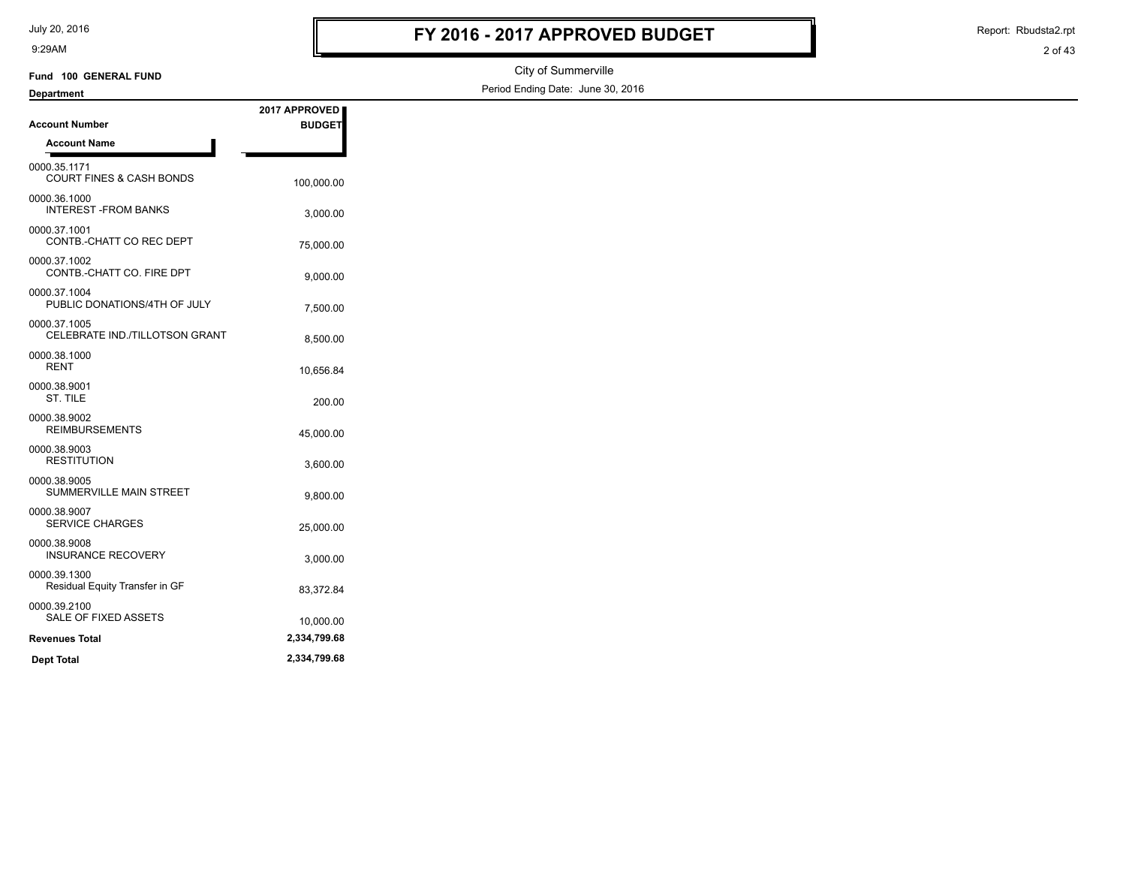July 20, 2016

9:29AM

# **FY 2016 - 2017 APPROVED BUDGET**

Report: Rbudsta2.rpt

```
2 of 43
```

| J. Z J N N I                                        |               |                                   | 2 UI 45 |
|-----------------------------------------------------|---------------|-----------------------------------|---------|
| Fund 100 GENERAL FUND                               |               | City of Summerville               |         |
| <b>Department</b>                                   |               | Period Ending Date: June 30, 2016 |         |
|                                                     | 2017 APPROVED |                                   |         |
| <b>Account Number</b>                               | <b>BUDGET</b> |                                   |         |
| <b>Account Name</b>                                 |               |                                   |         |
| 0000.35.1171<br><b>COURT FINES &amp; CASH BONDS</b> | 100,000.00    |                                   |         |
| 0000.36.1000<br><b>INTEREST-FROM BANKS</b>          | 3,000.00      |                                   |         |
| 0000.37.1001<br>CONTB.-CHATT CO REC DEPT            | 75,000.00     |                                   |         |
| 0000.37.1002<br>CONTB.-CHATT CO. FIRE DPT           | 9,000.00      |                                   |         |
| 0000.37.1004<br>PUBLIC DONATIONS/4TH OF JULY        | 7,500.00      |                                   |         |
| 0000.37.1005<br>CELEBRATE IND./TILLOTSON GRANT      | 8,500.00      |                                   |         |
| 0000.38.1000<br><b>RENT</b>                         | 10,656.84     |                                   |         |
| 0000.38.9001<br>ST. TILE                            | 200.00        |                                   |         |
| 0000.38.9002<br><b>REIMBURSEMENTS</b>               | 45,000.00     |                                   |         |
| 0000.38.9003<br><b>RESTITUTION</b>                  | 3,600.00      |                                   |         |
| 0000.38.9005<br>SUMMERVILLE MAIN STREET             | 9,800.00      |                                   |         |
| 0000.38.9007<br><b>SERVICE CHARGES</b>              | 25,000.00     |                                   |         |
| 0000.38.9008<br><b>INSURANCE RECOVERY</b>           | 3,000.00      |                                   |         |
| 0000.39.1300<br>Residual Equity Transfer in GF      | 83,372.84     |                                   |         |
| 0000.39.2100<br>SALE OF FIXED ASSETS                | 10,000.00     |                                   |         |
| <b>Revenues Total</b>                               | 2,334,799.68  |                                   |         |
| <b>Dept Total</b>                                   | 2,334,799.68  |                                   |         |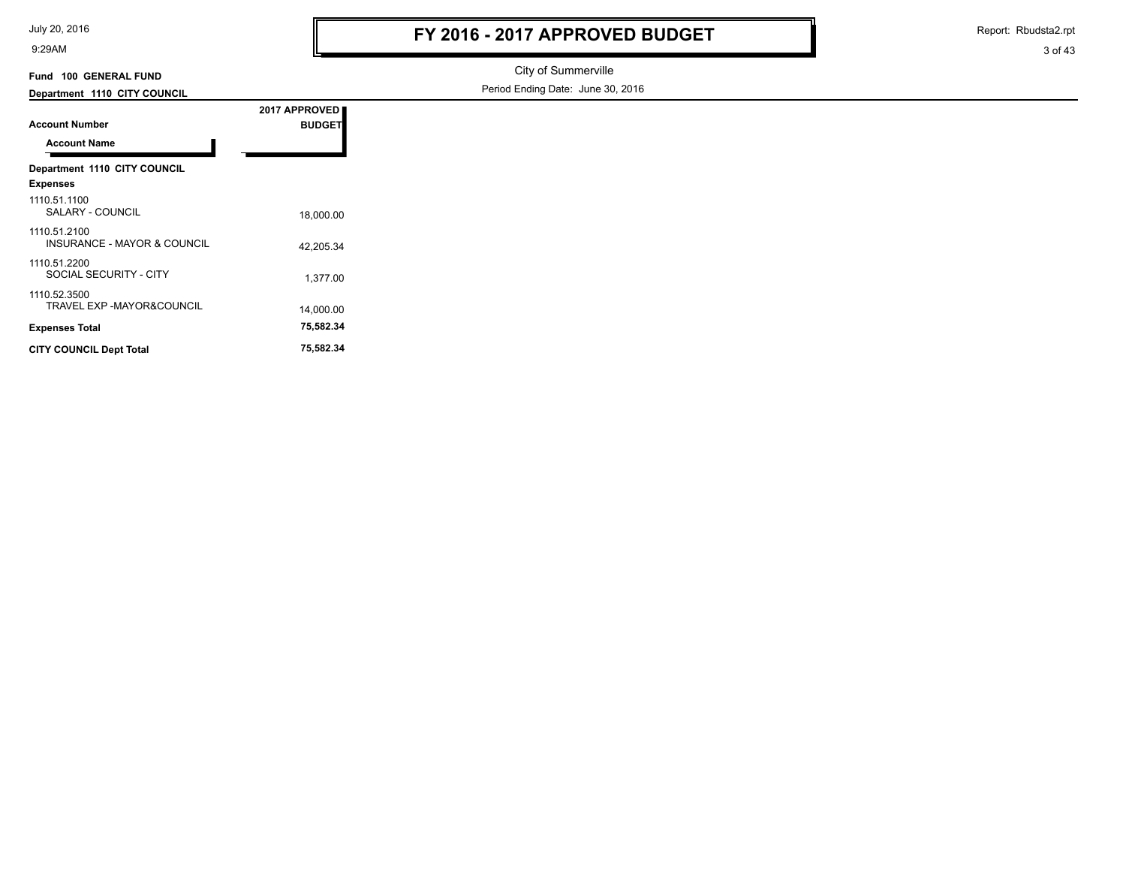| July 20, 2016 |  |  |  |
|---------------|--|--|--|
|---------------|--|--|--|

Report: Rbudsta2.rpt

#### 3 of 43

#### **Department 1110 CITY COUNCIL Fund 100 GENERAL FUND**

City of Summerville Period Ending Date: June 30, 2016

| <b>Account Number</b>                                  | 2017 APPROVED<br><b>BUDGET</b> |  |
|--------------------------------------------------------|--------------------------------|--|
| <b>Account Name</b>                                    |                                |  |
| Department 1110 CITY COUNCIL<br><b>Expenses</b>        |                                |  |
| 1110.51.1100<br>SALARY - COUNCIL                       | 18,000.00                      |  |
| 1110 51 2100<br><b>INSURANCE - MAYOR &amp; COUNCIL</b> | 42.205.34                      |  |
| 1110.51.2200<br>SOCIAL SECURITY - CITY                 | 1,377.00                       |  |
| 1110.52.3500<br><b>TRAVEL EXP -MAYOR&amp;COUNCIL</b>   | 14,000.00                      |  |
| <b>Expenses Total</b>                                  | 75,582.34                      |  |
| <b>CITY COUNCIL Dept Total</b>                         | 75,582.34                      |  |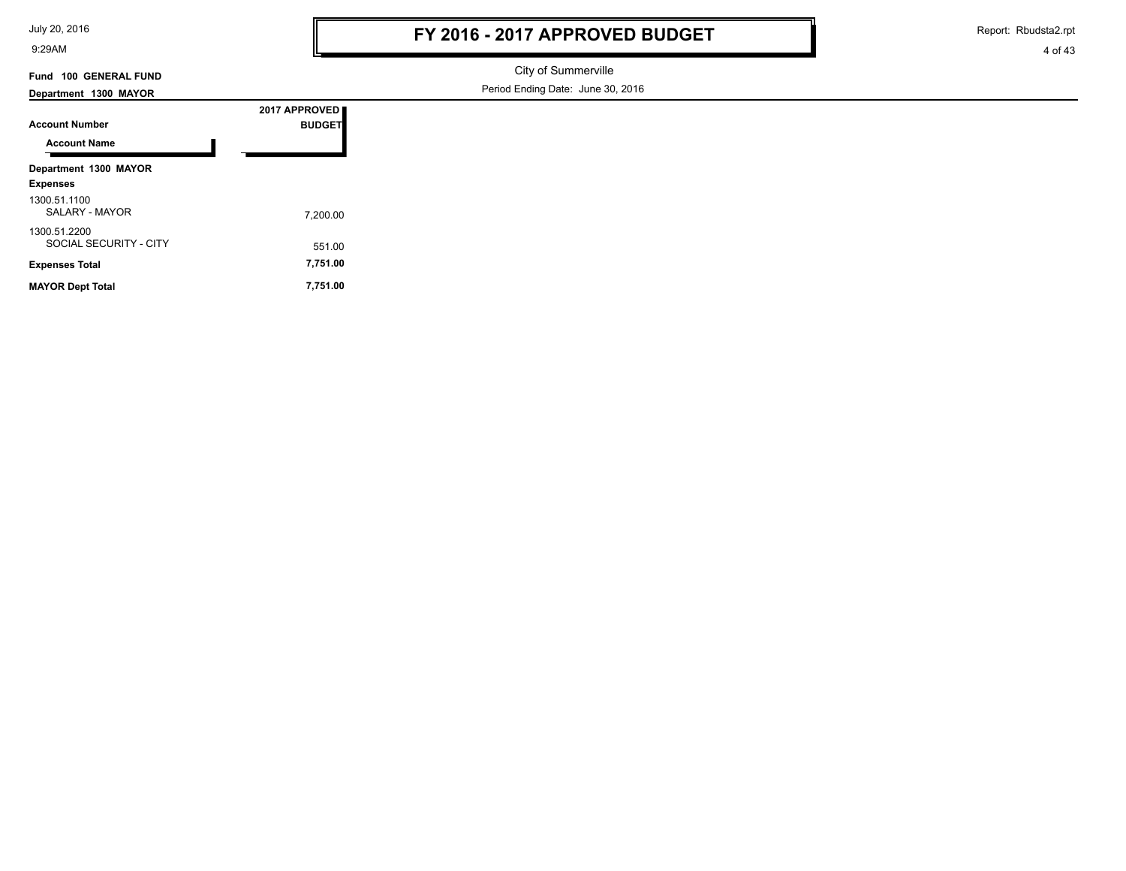July 20, 2016

9:29AM

Report: Rbudsta2.rpt

4 of 43

## **Fund 100 GENERAL FUND**

City of Summerville Period Ending Date: June 30, 2016

| Department 1300 MAYOR                  |               |
|----------------------------------------|---------------|
|                                        | 2017 APPROVED |
| <b>Account Number</b>                  | <b>BUDGET</b> |
| <b>Account Name</b>                    |               |
| Department 1300 MAYOR                  |               |
| <b>Expenses</b>                        |               |
| 1300.51.1100<br>SALARY - MAYOR         | 7.200.00      |
| 1300.51.2200<br>SOCIAL SECURITY - CITY | 551.00        |
| <b>Expenses Total</b>                  | 7,751.00      |
| <b>MAYOR Dept Total</b>                | 7,751.00      |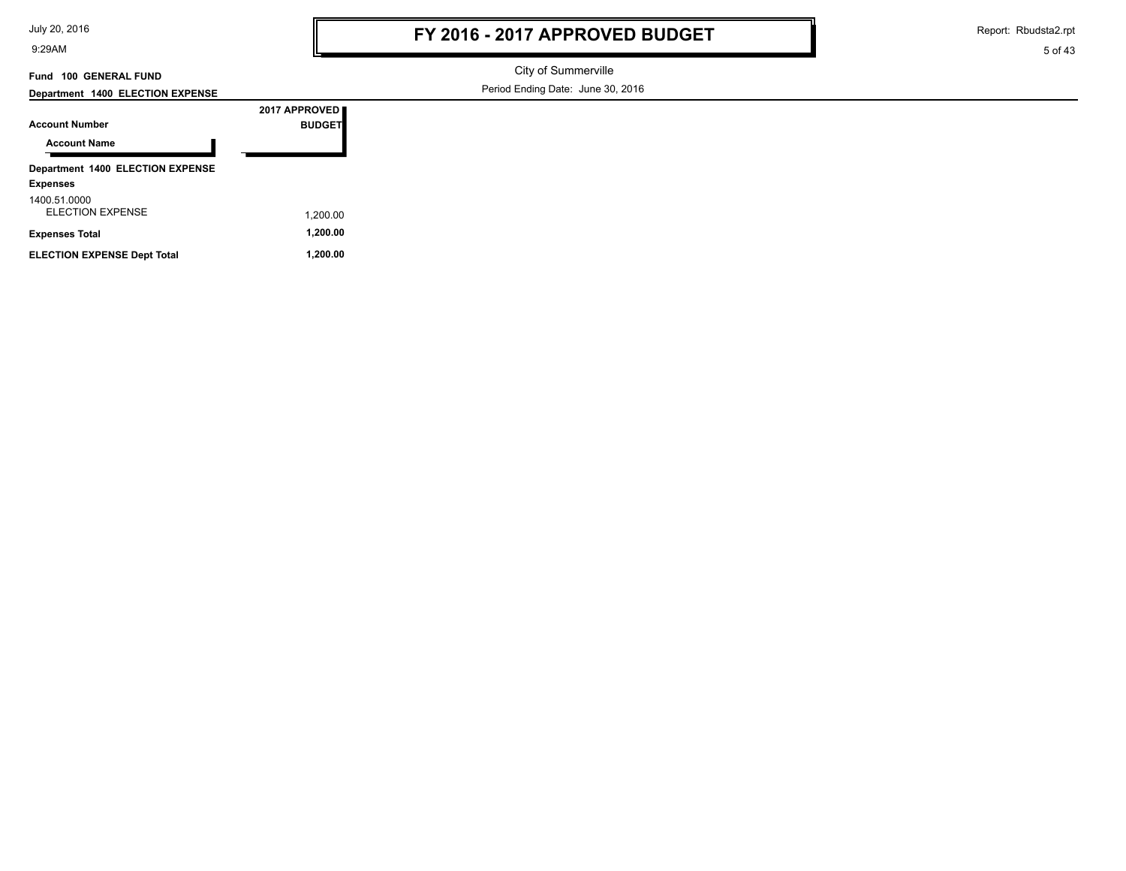| July 20, 2016 |
|---------------|
|---------------|

Report: Rbudsta2.rpt

5 of 43

#### **Fund 100 GENERAL FUND**

### **Department 1400 ELECTION EXPENSE**

City of Summerville Period Ending Date: June 30, 2016

| Department 1400 ELECTION EXPENSE |               |
|----------------------------------|---------------|
|                                  | 2017 APPROVED |
| <b>Account Number</b>            | <b>BUDGET</b> |
| <b>Account Name</b>              |               |
| Department 1400 ELECTION EXPENSE |               |
| <b>Expenses</b>                  |               |
| 1400.51.0000                     |               |

ELECTION EXPENSE 1,200.00 **Expenses Total 1,200.00 ELECTION EXPENSE Dept Total 1,200.00**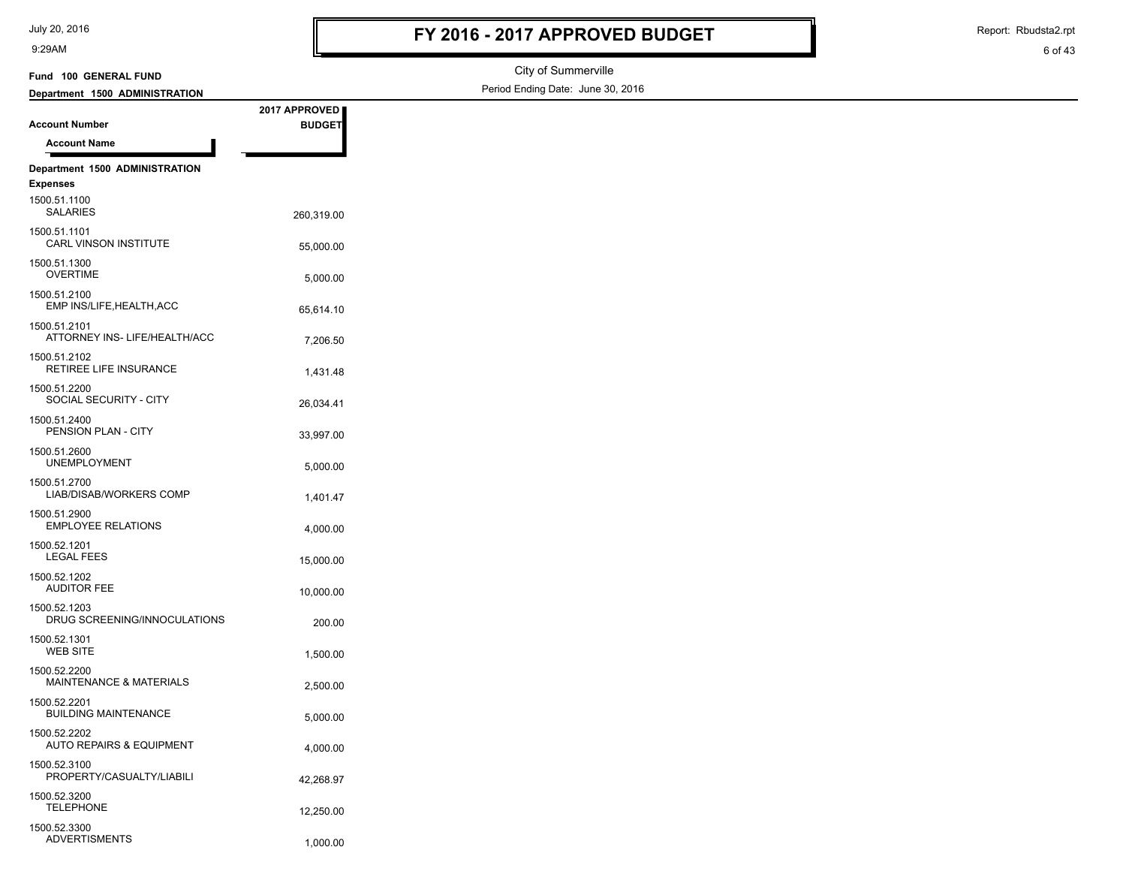Report: Rbudsta2.rpt

# **Account Number Department 1500 ADMINISTRATION Fund 100 GENERAL FUND**

1,000.00 ADVERTISMENTS

**2017 APPROVED BUDGET**

City of Summerville Period Ending Date: June 30, 2016

| <b>Account Name</b>                                 |            |
|-----------------------------------------------------|------------|
| Department 1500 ADMINISTRATION<br><b>Expenses</b>   |            |
| 1500.51.1100<br><b>SALARIES</b>                     | 260,319.00 |
| 1500.51.1101<br>CARL VINSON INSTITUTE               | 55,000.00  |
| 1500.51.1300<br><b>OVERTIME</b>                     | 5,000.00   |
| 1500.51.2100<br>EMP INS/LIFE, HEALTH, ACC           | 65,614.10  |
| 1500.51.2101<br>ATTORNEY INS- LIFE/HEALTH/ACC       | 7,206.50   |
| 1500.51.2102<br>RETIREE LIFE INSURANCE              | 1,431.48   |
| 1500.51.2200<br>SOCIAL SECURITY - CITY              | 26,034.41  |
| 1500.51.2400<br>PENSION PLAN - CITY                 | 33,997.00  |
| 1500.51.2600<br><b>UNEMPLOYMENT</b>                 | 5,000.00   |
| 1500.51.2700<br>LIAB/DISAB/WORKERS COMP             | 1,401.47   |
| 1500.51.2900<br><b>EMPLOYEE RELATIONS</b>           | 4,000.00   |
| 1500.52.1201<br><b>LEGAL FEES</b>                   | 15,000.00  |
| 1500.52.1202<br><b>AUDITOR FEE</b>                  | 10,000.00  |
| 1500.52.1203<br>DRUG SCREENING/INNOCULATIONS        | 200.00     |
| 1500.52.1301<br><b>WEB SITE</b>                     | 1,500.00   |
| 1500.52.2200<br>MAINTENANCE & MATERIALS             | 2,500.00   |
| 1500.52.2201<br><b>BUILDING MAINTENANCE</b>         | 5,000.00   |
| 1500.52.2202<br><b>AUTO REPAIRS &amp; EQUIPMENT</b> | 4,000.00   |
| 1500.52.3100<br>PROPERTY/CASUALTY/LIABILI           | 42,268.97  |
| 1500.52.3200<br><b>TELEPHONE</b>                    | 12,250.00  |
| 1500.52.3300                                        |            |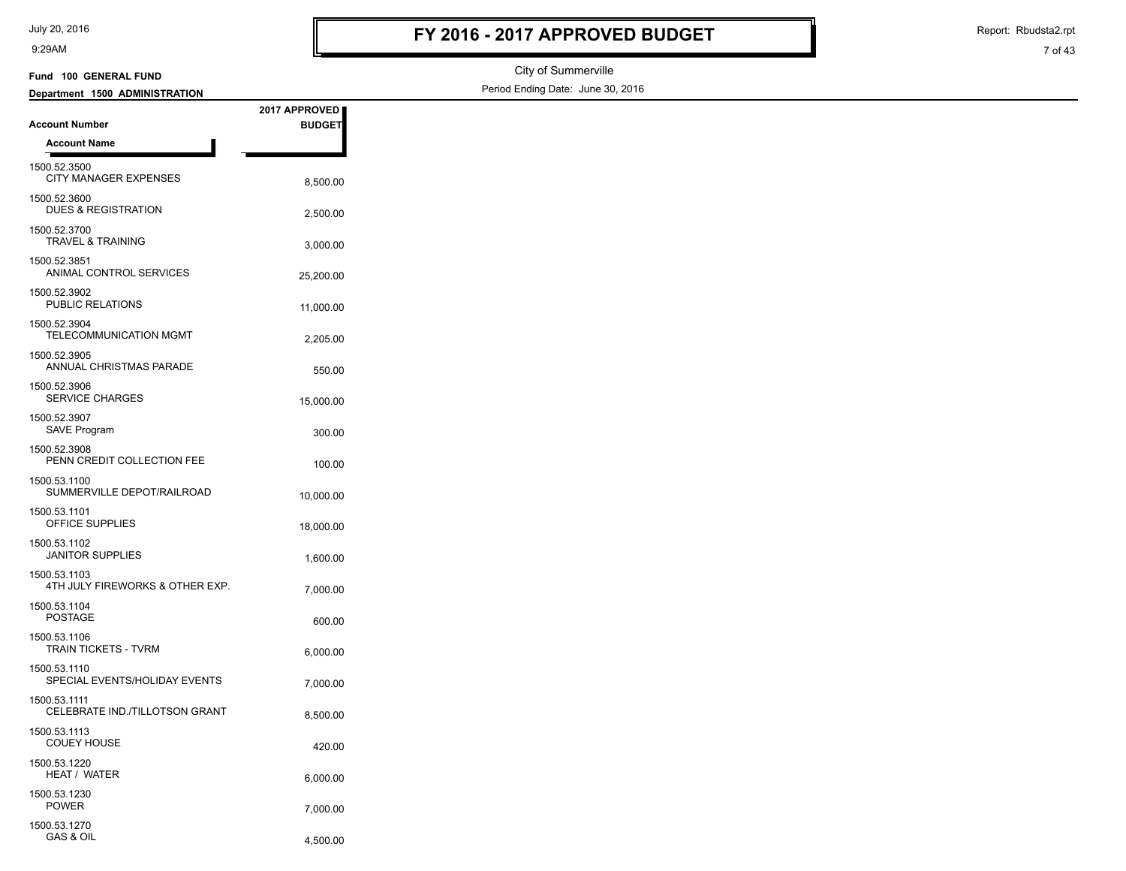GAS & OIL 4,500.00

1500.53.1270

9:29AM

Report: Rbudsta2.rpt

#### City of Summerville Period Ending Date: June 30, 2016 **Account Number Department 1500 ADMINISTRATION Fund 100 GENERAL FUND 2017 APPROVED BUDGET Account Name** CITY MANAGER EXPENSES 8,500.00 1500.52.3500 DUES & REGISTRATION 2,500.00 1500.52.3600 TRAVEL & TRAINING 3,000.00 1500.52.3700 ANIMAL CONTROL SERVICES 25,200.00 1500.52.3851 PUBLIC RELATIONS 11,000.00 1500.52.3902 2,205.00 TELECOMMUNICATION MGMT 1500.52.3904 550.00 ANNUAL CHRISTMAS PARADE 1500.52.3905 SERVICE CHARGES 15,000.00 1500.52.3906 SAVE Program 300.00 1500.52.3907 PENN CREDIT COLLECTION FEE<br>
100.00 1500.52.3908 SUMMERVILLE DEPOT/RAILROAD 10,000.00 1500.53.1100 OFFICE SUPPLIES 18,000.00 1500.53.1101 1,600.00 JANITOR SUPPLIES 1500.53.1102 4TH JULY FIREWORKS & OTHER EXP.  $7.000.00$ 1500.53.1103 POSTAGE 600.00 1500.53.1104 TRAIN TICKETS - TVRM<br>6,000.00 1500.53.1106 SPECIAL EVENTS/HOLIDAY EVENTS 7,000.00 1500.53.1110 CELEBRATE IND./TILLOTSON GRANT 8,500.00 1500.53.1111 COUEY HOUSE 420.00 1500.53.1113 HEAT / WATER 6,000.00 1500.53.1220 7,000.00 POWER 1500.53.1230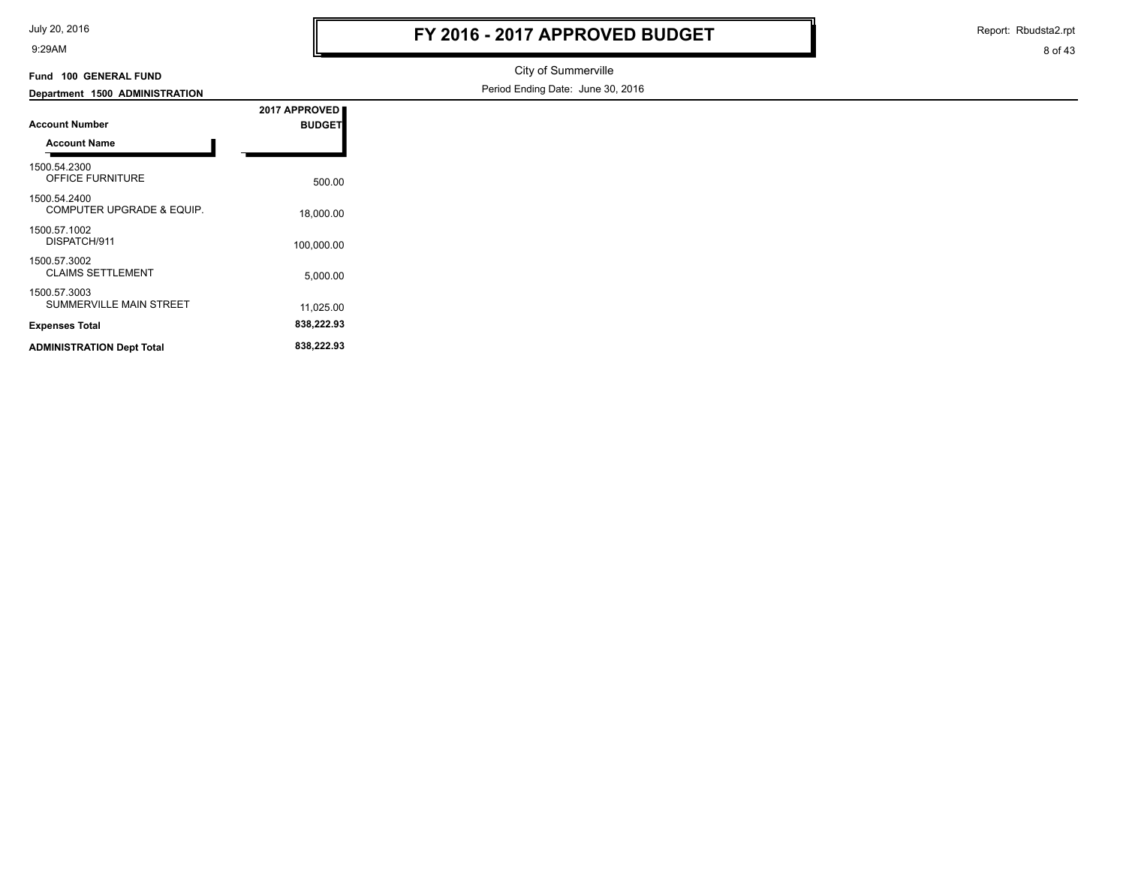| July 20, 2016 |  |  |  |
|---------------|--|--|--|
|---------------|--|--|--|

Report: Rbudsta2.rpt

```
8 of 43
```
#### **Fund 100 GENERAL FUND**

### City of Summerville Period Ending Date: June 30, 2016

| Department 1500 ADMINISTRATION                 |                                |
|------------------------------------------------|--------------------------------|
| <b>Account Number</b>                          | 2017 APPROVED<br><b>BUDGET</b> |
| <b>Account Name</b>                            |                                |
| 1500.54.2300<br><b>OFFICE FURNITURE</b>        | 500.00                         |
| 1500.54.2400<br>COMPUTER UPGRADE & EQUIP.      | 18,000.00                      |
| 1500.57.1002<br>DISPATCH/911                   | 100.000.00                     |
| 1500.57.3002<br><b>CLAIMS SETTLEMENT</b>       | 5,000.00                       |
| 1500.57.3003<br><b>SUMMERVILLE MAIN STREET</b> | 11,025.00                      |
| <b>Expenses Total</b>                          | 838,222.93                     |
| <b>ADMINISTRATION Dept Total</b>               | 838,222.93                     |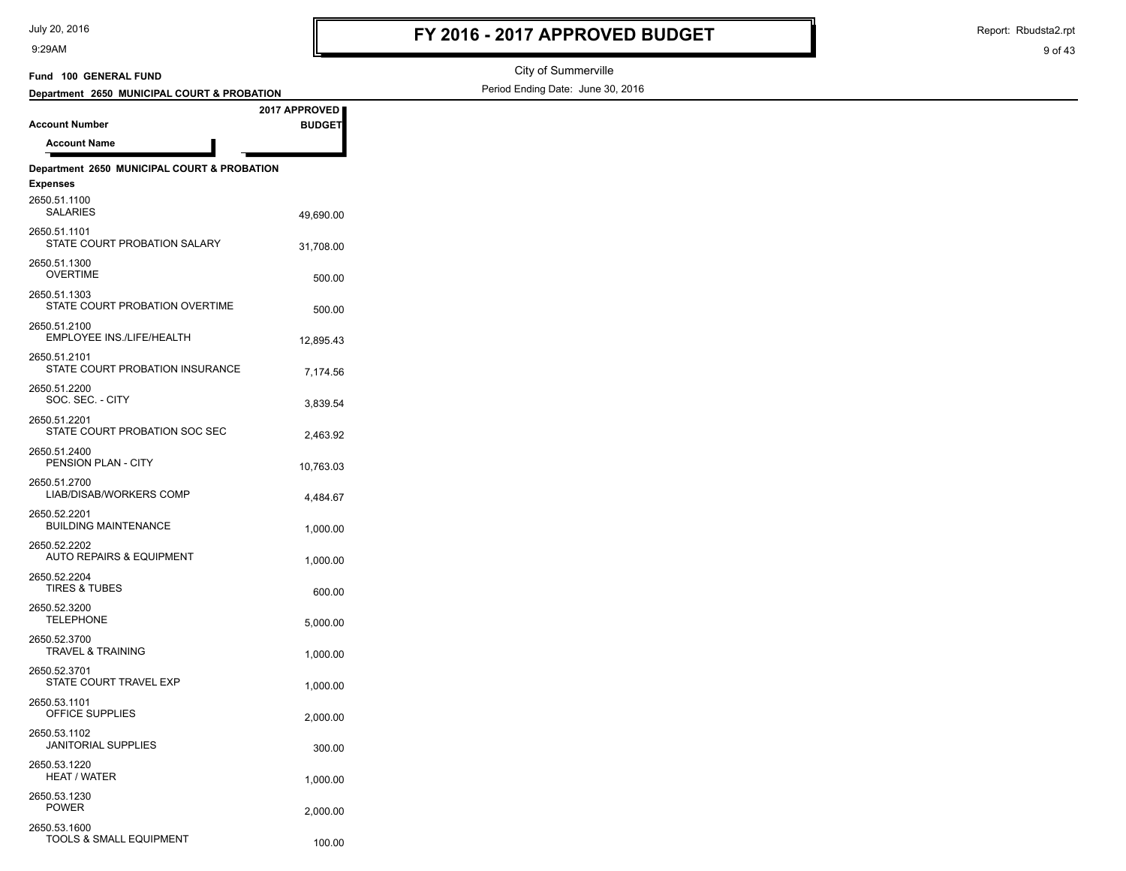100.00 TOOLS & SMALL EQUIPMENT

2650.53.1600

9:29AM

Report: Rbudsta2.rpt

```
9 of 43
```
#### City of Summerville Period Ending Date: June 30, 2016 **Account Number Department 2650 MUNICIPAL COURT & PROBATION Fund 100 GENERAL FUND 2017 APPROVED BUDGET Account Name Department 2650 MUNICIPAL COURT & PROBATION Expenses** 49,690.00 SALARIES 2650.51.1100 STATE COURT PROBATION SALARY 31.708.00 2650.51.1101 OVERTIME 500.00 2650.51.1300 STATE COURT PROBATION OVERTIME 600.00 2650.51.1303 12,895.43 EMPLOYEE INS./LIFE/HEALTH 2650.51.2100 STATE COURT PROBATION INSURANCE 7,174.56 2650.51.2101 3,839.54 SOC. SEC. - CITY 2650.51.2200 STATE COURT PROBATION SOC SEC 2,463.92 2650.51.2201 PENSION PLAN - CITY 10,763.03 2650.51.2400 4,484.67 LIAB/DISAB/WORKERS COMP 2650.51.2700 BUILDING MAINTENANCE 1,000.00 2650.52.2201 AUTO REPAIRS & EQUIPMENT 1,000.00 2650.52.2202 600.00 TIRES & TUBES 2650.52.2204 5,000.00 TELEPHONE 2650.52.3200 TRAVEL & TRAINING 1,000.00 2650.52.3700 STATE COURT TRAVEL EXP 1,000.00 2650.52.3701 OFFICE SUPPLIES 2,000.00 2650.53.1101 300.00 JANITORIAL SUPPLIES 2650.53.1102 HEAT / WATER 1,000.00 2650.53.1220 2,000.00 POWER 2650.53.1230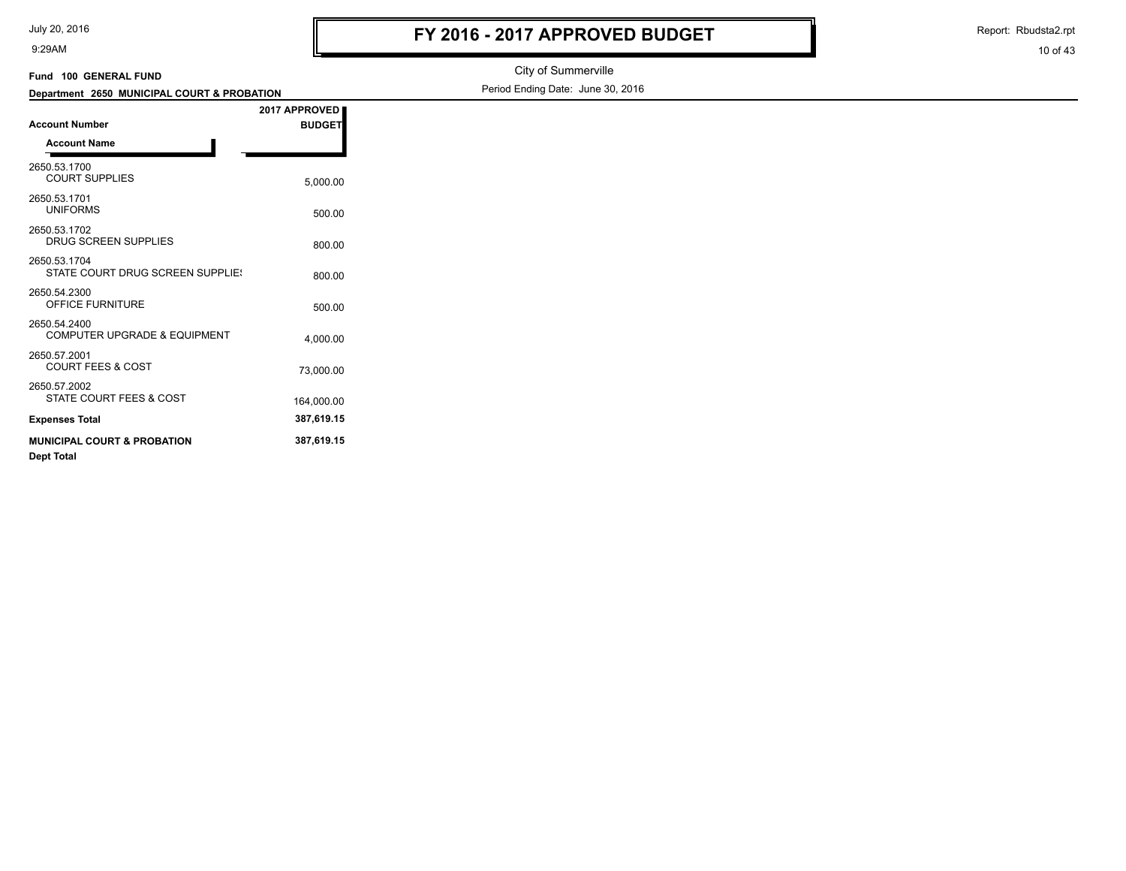| July 20, 2016 |
|---------------|
|---------------|

Report: Rbudsta2.rpt

| 9:29AM                                                  |               |                                   | 10 of 43 |
|---------------------------------------------------------|---------------|-----------------------------------|----------|
| Fund 100 GENERAL FUND                                   |               | City of Summerville               |          |
| Department 2650 MUNICIPAL COURT & PROBATION             |               | Period Ending Date: June 30, 2016 |          |
|                                                         | 2017 APPROVED |                                   |          |
| <b>Account Number</b>                                   | <b>BUDGET</b> |                                   |          |
| <b>Account Name</b>                                     |               |                                   |          |
| 2650.53.1700<br><b>COURT SUPPLIES</b>                   | 5,000.00      |                                   |          |
| 2650.53.1701<br><b>UNIFORMS</b>                         | 500.00        |                                   |          |
| 2650.53.1702<br>DRUG SCREEN SUPPLIES                    | 800.00        |                                   |          |
| 2650.53.1704<br>STATE COURT DRUG SCREEN SUPPLIE!        | 800.00        |                                   |          |
| 2650.54.2300<br>OFFICE FURNITURE                        | 500.00        |                                   |          |
| 2650.54.2400<br><b>COMPUTER UPGRADE &amp; EQUIPMENT</b> | 4,000.00      |                                   |          |
| 2650.57.2001<br><b>COURT FEES &amp; COST</b>            | 73,000.00     |                                   |          |
| 2650.57.2002<br>STATE COURT FEES & COST                 | 164,000.00    |                                   |          |

**Expenses Total 387,619.15 MUNICIPAL COURT & PROBATION Dept Total 387,619.15**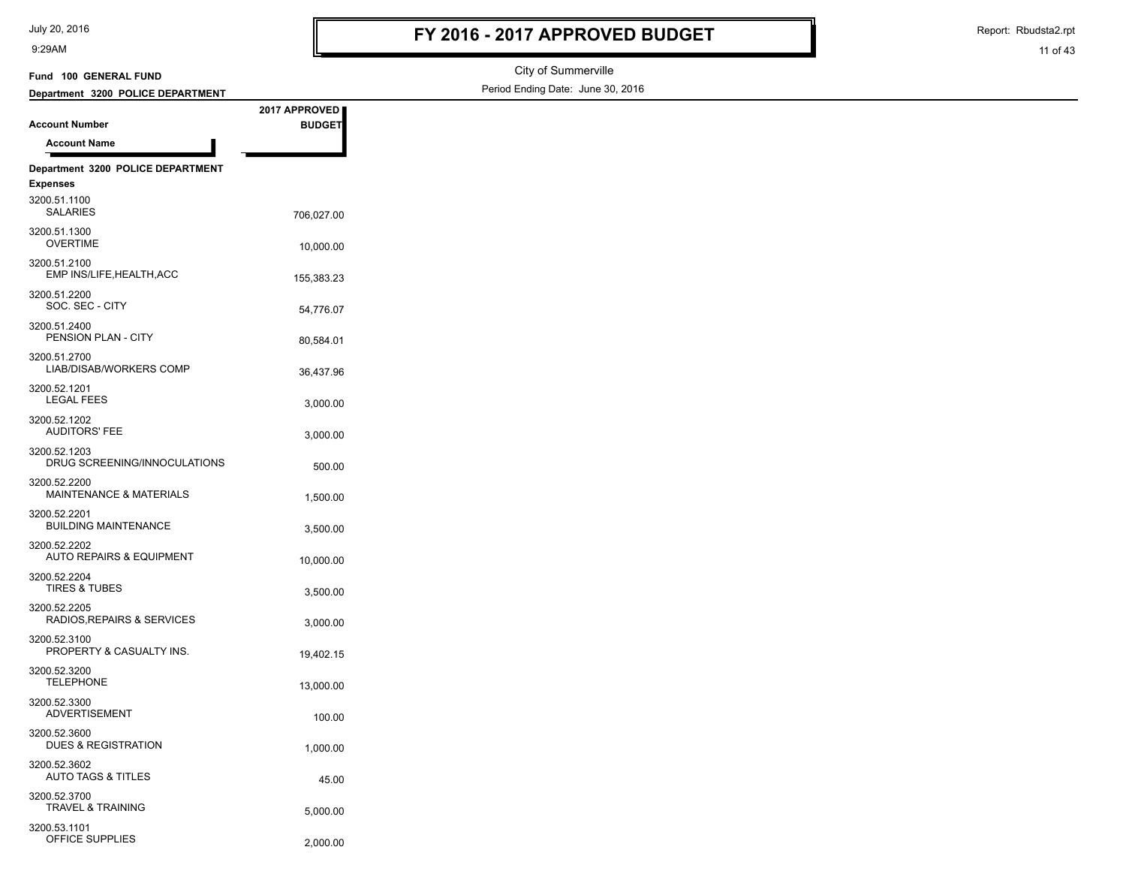| July 20, 2016 |  |  |  |
|---------------|--|--|--|
|---------------|--|--|--|

Report: Rbudsta2.rpt

#### 11 of 43

#### City of Summerville Period Ending Date: June 30, 2016 **Account Number Department 3200 POLICE DEPARTMENT Fund 100 GENERAL FUND 2017 APPROVED BUDGET Account Name Department 3200 POLICE DEPARTMENT Expenses** 706,027.00 SALARIES 3200.51.1100 OVERTIME 10,000.00 3200.51.1300 155,383.23 EMP INS/LIFE,HEALTH,ACC 3200.51.2100 SOC. SEC - CITY 54,776.07 3200.51.2200 PENSION PLAN - CITY 80,584.01 3200.51.2400 36,437.96 LIAB/DISAB/WORKERS COMP 3200.51.2700 3,000.00 LEGAL FEES 3200.52.1201 3,000.00 AUDITORS' FEE 3200.52.1202 DRUG SCREENING/INNOCULATIONS 500.00 3200.52.1203 MAINTENANCE & MATERIALS 1,500.00 3200.52.2200 BUILDING MAINTENANCE 3,500.00 3200.52.2201 AUTO REPAIRS & EQUIPMENT 10,000.00 3200.52.2202 3,500.00 TIRES & TUBES 3200.52.2204 RADIOS, REPAIRS & SERVICES 3,000.00 3200.52.2205 PROPERTY & CASUALTY INS. 19,402.15 3200.52.3100 13,000.00 TELEPHONE 3200.52.3200 100.00 ADVERTISEMENT 3200.52.3300 DUES & REGISTRATION 1.000.00 3200.52.3600 45.00 AUTO TAGS & TITLES 3200.52.3602 5,000.00 TRAVEL & TRAINING 3200.52.3700 OFFICE SUPPLIES 2,000.00 3200.53.1101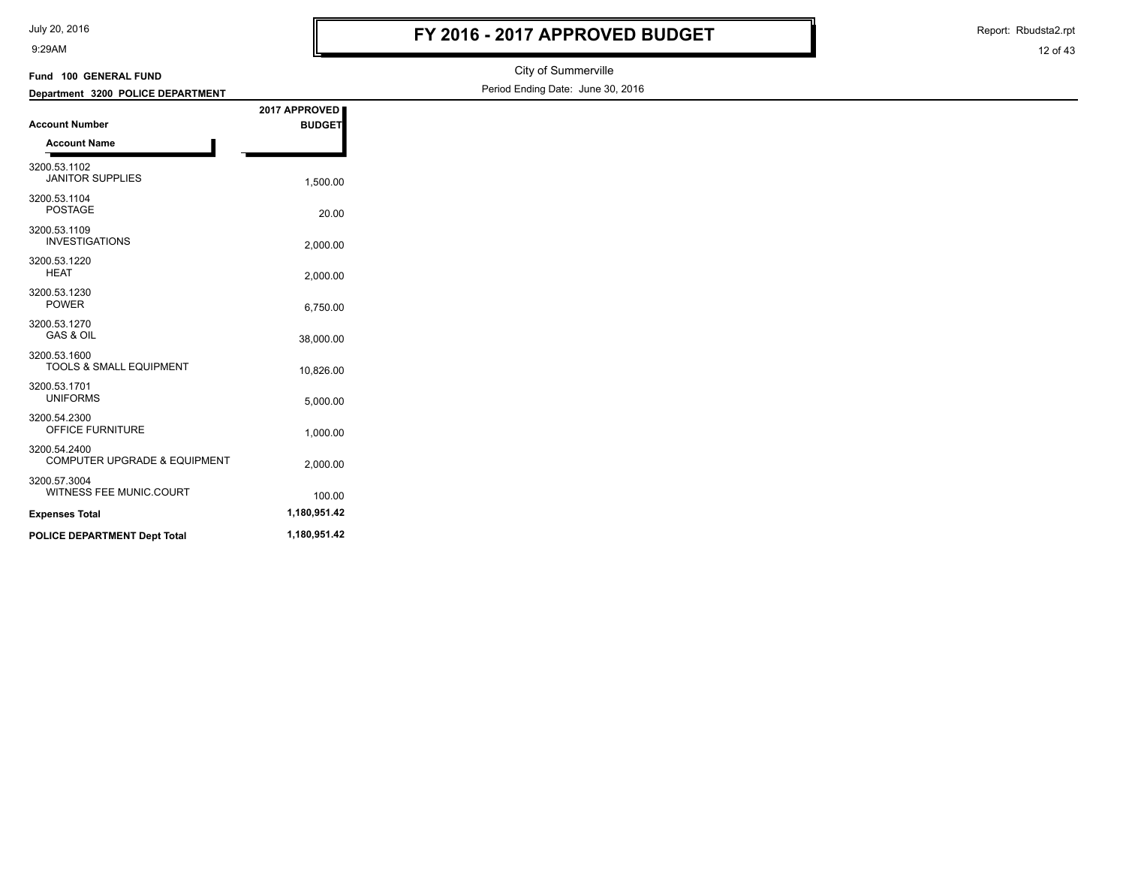| July 20, 2016 |  |
|---------------|--|
|---------------|--|

Report: Rbudsta2.rpt

| Fund 100 GENERAL FUND                                   |               | City of Summerville               |
|---------------------------------------------------------|---------------|-----------------------------------|
| Department 3200 POLICE DEPARTMENT                       |               | Period Ending Date: June 30, 2016 |
| <b>Account Number</b>                                   | 2017 APPROVED |                                   |
| <b>Account Name</b>                                     | <b>BUDGET</b> |                                   |
|                                                         |               |                                   |
| 3200.53.1102<br><b>JANITOR SUPPLIES</b>                 | 1,500.00      |                                   |
| 3200.53.1104<br>POSTAGE                                 | 20.00         |                                   |
| 3200.53.1109<br><b>INVESTIGATIONS</b>                   | 2,000.00      |                                   |
| 3200.53.1220<br><b>HEAT</b>                             | 2,000.00      |                                   |
| 3200.53.1230<br>POWER                                   | 6,750.00      |                                   |
| 3200.53.1270<br><b>GAS &amp; OIL</b>                    | 38,000.00     |                                   |
| 3200.53.1600<br><b>TOOLS &amp; SMALL EQUIPMENT</b>      | 10,826.00     |                                   |
| 3200.53.1701<br><b>UNIFORMS</b>                         | 5,000.00      |                                   |
| 3200.54.2300<br>OFFICE FURNITURE                        | 1,000.00      |                                   |
| 3200.54.2400<br><b>COMPUTER UPGRADE &amp; EQUIPMENT</b> | 2,000.00      |                                   |
| 3200.57.3004<br>WITNESS FEE MUNIC.COURT                 | 100.00        |                                   |
| <b>Expenses Total</b>                                   | 1,180,951.42  |                                   |
| POLICE DEPARTMENT Dept Total                            | 1,180,951.42  |                                   |
|                                                         |               |                                   |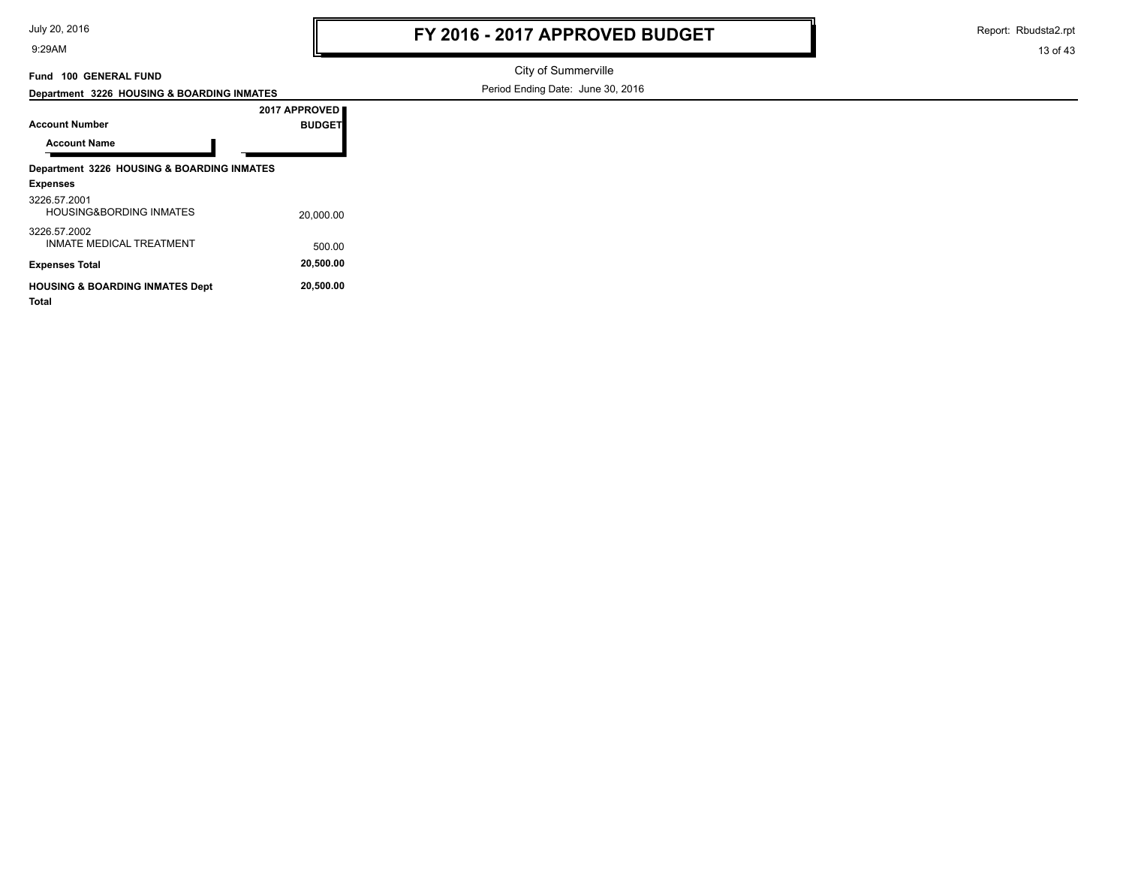Report: Rbudsta2.rpt

13 of 43

### **Fund 100 GENERAL FUND**

**Department 3226 HOUSING & BOARDING INMATES**

City of Summerville Period Ending Date: June 30, 2016

|                                                            | 2017 APPROVED |  |
|------------------------------------------------------------|---------------|--|
| <b>Account Number</b>                                      | <b>BUDGET</b> |  |
| <b>Account Name</b>                                        |               |  |
| Department 3226 HOUSING & BOARDING INMATES                 |               |  |
| <b>Expenses</b>                                            |               |  |
| 3226.57.2001<br><b>HOUSING&amp;BORDING INMATES</b>         | 20,000.00     |  |
| 3226.57.2002<br><b>INMATE MEDICAL TREATMENT</b>            | 500.00        |  |
| <b>Expenses Total</b>                                      | 20,500.00     |  |
| <b>HOUSING &amp; BOARDING INMATES Dept</b><br><b>Total</b> | 20.500.00     |  |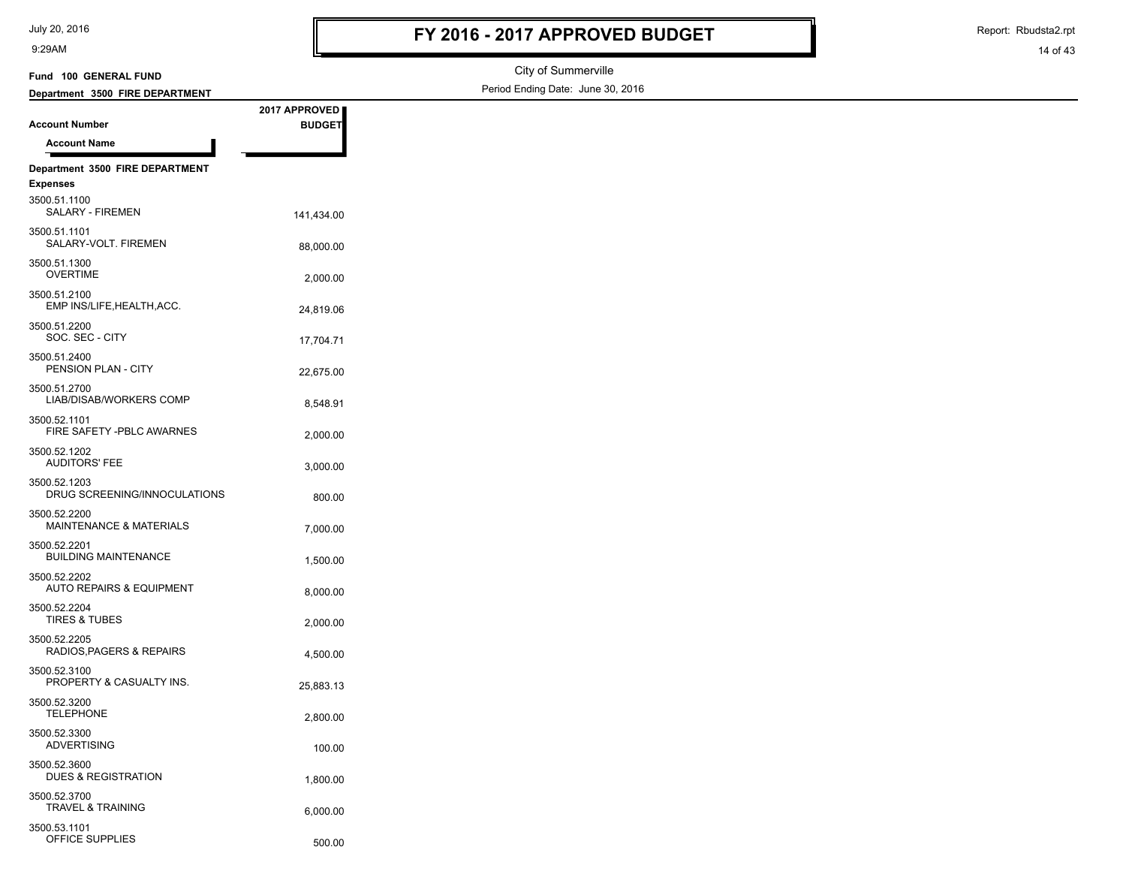| July 20, 2016 |  |  |  |
|---------------|--|--|--|
|---------------|--|--|--|

OFFICE SUPPLIES 500.00

3500.53.1101

9:29AM

Report: Rbudsta2.rpt

14 of 43

#### City of Summerville Period Ending Date: June 30, 2016 **Account Number Department 3500 FIRE DEPARTMENT Fund 100 GENERAL FUND 2017 APPROVED BUDGET Account Name Department 3500 FIRE DEPARTMENT Expenses** 141,434.00 SALARY - FIREMEN 3500.51.1100 88,000.00 SALARY-VOLT. FIREMEN 3500.51.1101 OVERTIME 2,000.00 3500.51.1300 24,819.06 EMP INS/LIFE,HEALTH,ACC. 3500.51.2100 SOC. SEC - CITY 17,704.71 3500.51.2200 PENSION PLAN - CITY 22,675.00 3500.51.2400 LIAB/DISAB/WORKERS COMP 8.548.91 3500.51.2700 FIRE SAFETY -PBLC AWARNES 2,000.00 3500.52.1101 3,000.00 AUDITORS' FEE 3500.52.1202 DRUG SCREENING/INNOCULATIONS 800.00 3500.52.1203 MAINTENANCE & MATERIALS 7,000.00 3500.52.2200 BUILDING MAINTENANCE 1,500.00 3500.52.2201 AUTO REPAIRS & EQUIPMENT 8.000.00 3500.52.2202 2,000.00 TIRES & TUBES 3500.52.2204 RADIOS, PAGERS & REPAIRS 4,500.00 3500.52.2205 25,883.13 PROPERTY & CASUALTY INS. 3500.52.3100 2,800.00 TELEPHONE 3500.52.3200 100.00 ADVERTISING 3500.52.3300 DUES & REGISTRATION 1,800.00 3500.52.3600 TRAVEL & TRAINING 6,000.00 3500.52.3700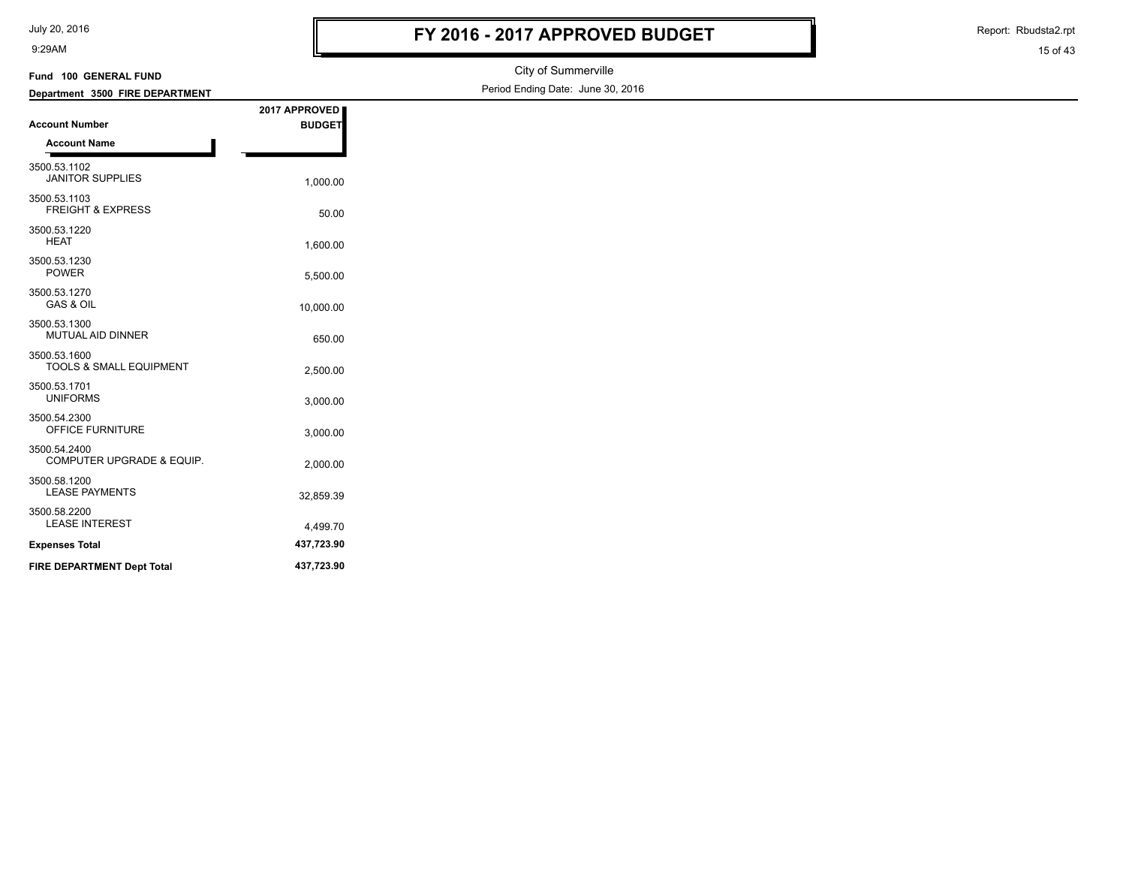| July 20, 2016 |  |
|---------------|--|
|---------------|--|

Report: Rbudsta2.rpt

| Fund 100 GENERAL FUND                                |                                | City of Summerville               |
|------------------------------------------------------|--------------------------------|-----------------------------------|
| Department 3500 FIRE DEPARTMENT                      |                                | Period Ending Date: June 30, 2016 |
| <b>Account Number</b><br><b>Account Name</b>         | 2017 APPROVED<br><b>BUDGET</b> |                                   |
| 3500.53.1102<br><b>JANITOR SUPPLIES</b>              | 1,000.00                       |                                   |
| 3500.53.1103<br><b>FREIGHT &amp; EXPRESS</b>         | 50.00                          |                                   |
| 3500.53.1220<br><b>HEAT</b>                          | 1,600.00                       |                                   |
| 3500.53.1230<br>POWER                                | 5,500.00                       |                                   |
| 3500.53.1270<br>GAS & OIL                            | 10,000.00                      |                                   |
| 3500.53.1300<br>MUTUAL AID DINNER                    | 650.00                         |                                   |
| 3500.53.1600<br>TOOLS & SMALL EQUIPMENT              | 2,500.00                       |                                   |
| 3500.53.1701<br><b>UNIFORMS</b>                      | 3,000.00                       |                                   |
| 3500.54.2300<br>OFFICE FURNITURE                     | 3,000.00                       |                                   |
| 3500.54.2400<br><b>COMPUTER UPGRADE &amp; EQUIP.</b> | 2,000.00                       |                                   |
| 3500.58.1200<br><b>LEASE PAYMENTS</b>                | 32,859.39                      |                                   |
| 3500.58.2200<br><b>LEASE INTEREST</b>                | 4,499.70                       |                                   |
| <b>Expenses Total</b>                                | 437,723.90                     |                                   |
| FIRE DEPARTMENT Dept Total                           | 437,723.90                     |                                   |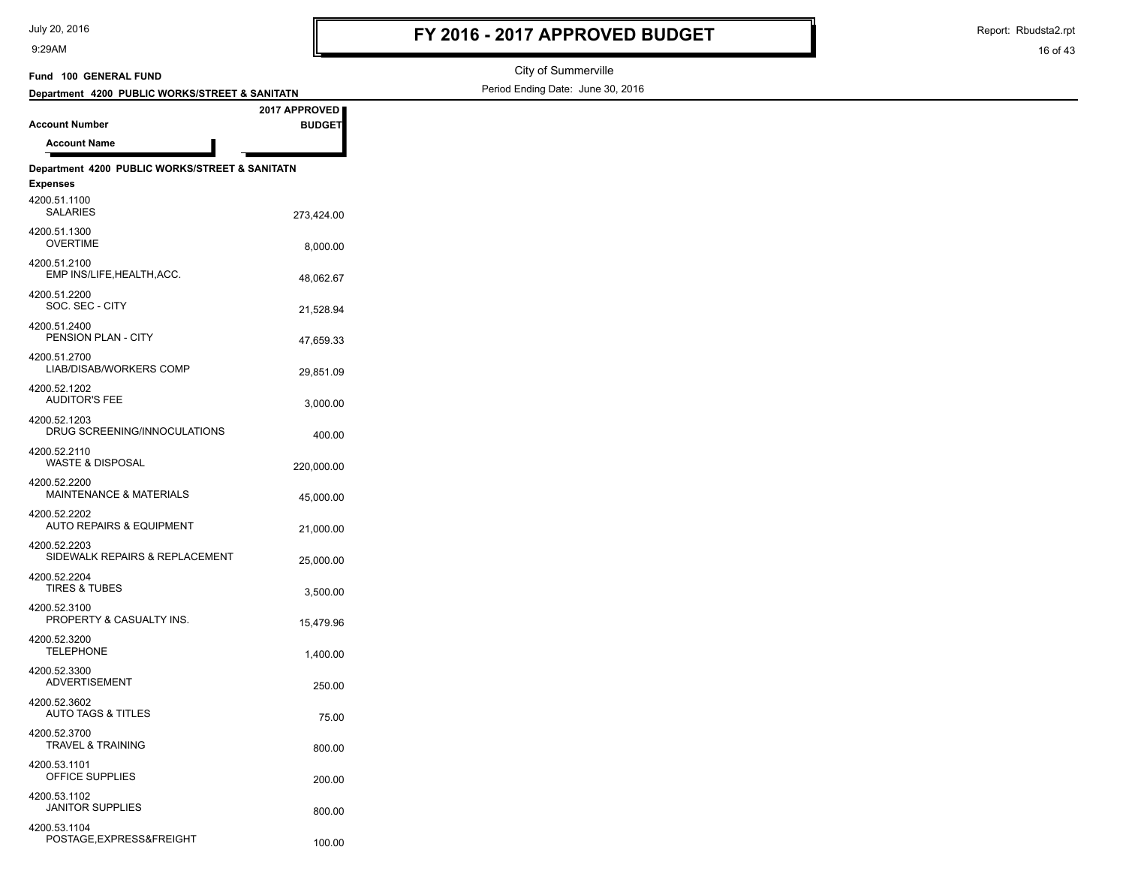100.00 POSTAGE,EXPRESS&FREIGHT

4200.53.1104

9:29AM

Report: Rbudsta2.rpt

16 of 43

#### City of Summerville Period Ending Date: June 30, 2016 **Account Number Department 4200 PUBLIC WORKS/STREET & SANITATN Fund 100 GENERAL FUND 2017 APPROVED BUDGET Account Name Department 4200 PUBLIC WORKS/STREET & SANITATN Expenses** 273,424.00 SALARIES 4200.51.1100 OVERTIME 8.000.00 4200.51.1300 48,062.67 EMP INS/LIFE,HEALTH,ACC. 4200.51.2100 21,528.94 SOC. SEC - CITY 4200.51.2200 PENSION PLAN - CITY 47,659.33 4200.51.2400 29,851.09 LIAB/DISAB/WORKERS COMP 4200.51.2700 3,000.00 AUDITOR'S FEE 4200.52.1202 DRUG SCREENING/INNOCULATIONS 400.00 4200.52.1203 WASTE & DISPOSAL 220,000.00 4200.52.2110 MAINTENANCE & MATERIALS 45,000.00 4200.52.2200 21,000.00 AUTO REPAIRS & EQUIPMENT 4200.52.2202 25,000.00 SIDEWALK REPAIRS & REPLACEMENT 4200.52.2203 3,500.00 TIRES & TUBES 4200.52.2204 PROPERTY & CASUALTY INS. 15,479.96 4200.52.3100 1,400.00 TELEPHONE 4200.52.3200 250.00 ADVERTISEMENT 4200.52.3300 AUTO TAGS & TITLES 75.00 4200.52.3602 TRAVEL & TRAINING 800.00 4200.52.3700 OFFICE SUPPLIES 200.00 4200.53.1101 800.00 JANITOR SUPPLIES 4200.53.1102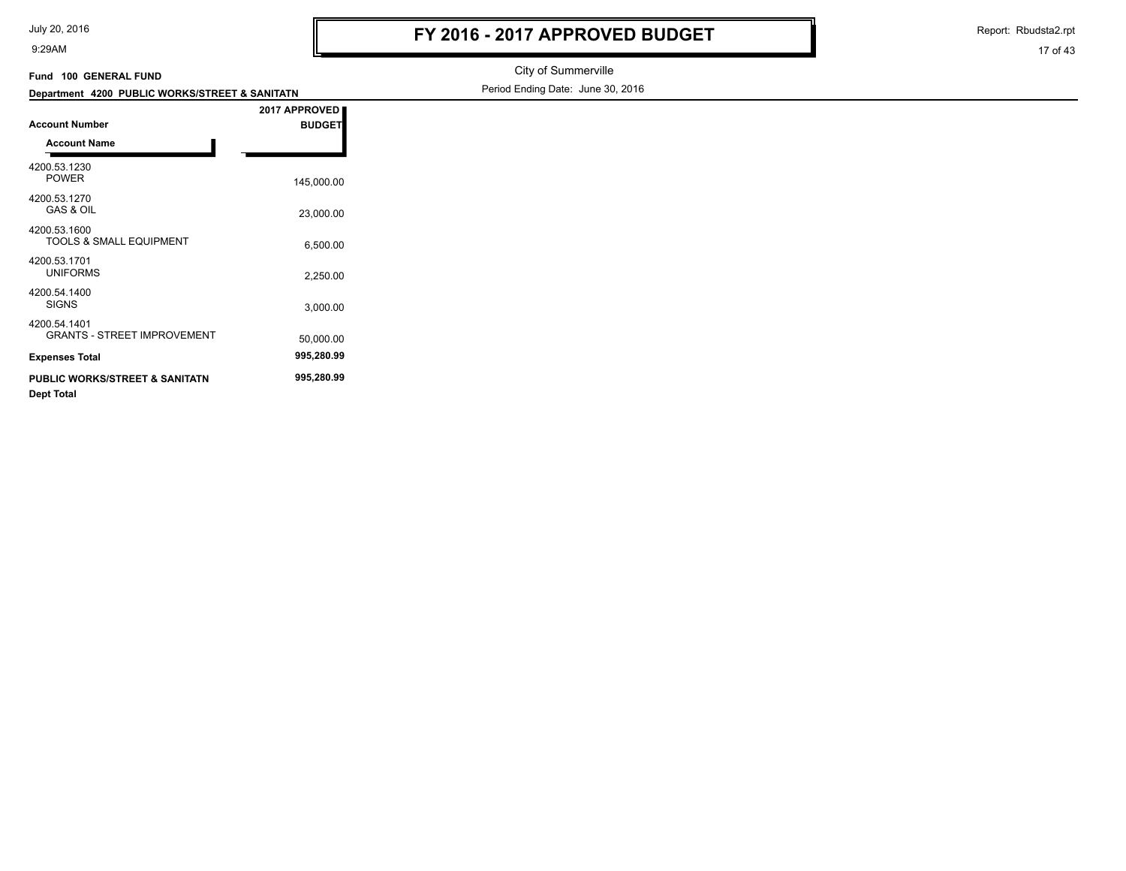17 of 43 Report: Rbudsta2.rpt

| Fund 100 GENERAL FUND                               |               | City of Summerville               |
|-----------------------------------------------------|---------------|-----------------------------------|
| Department 4200 PUBLIC WORKS/STREET & SANITATN      |               | Period Ending Date: June 30, 2016 |
|                                                     | 2017 APPROVED |                                   |
| <b>Account Number</b>                               | <b>BUDGET</b> |                                   |
| <b>Account Name</b>                                 |               |                                   |
| 4200.53.1230<br><b>POWER</b>                        | 145,000.00    |                                   |
| 4200.53.1270<br><b>GAS &amp; OIL</b>                | 23,000.00     |                                   |
| 4200.53.1600<br>TOOLS & SMALL EQUIPMENT             | 6,500.00      |                                   |
| 4200.53.1701<br><b>UNIFORMS</b>                     | 2,250.00      |                                   |
| 4200.54.1400<br><b>SIGNS</b>                        | 3,000.00      |                                   |
| 4200.54.1401<br><b>GRANTS - STREET IMPROVEMENT</b>  | 50,000.00     |                                   |
| <b>Expenses Total</b>                               | 995,280.99    |                                   |
| PUBLIC WORKS/STREET & SANITATN<br><b>Dept Total</b> | 995,280.99    |                                   |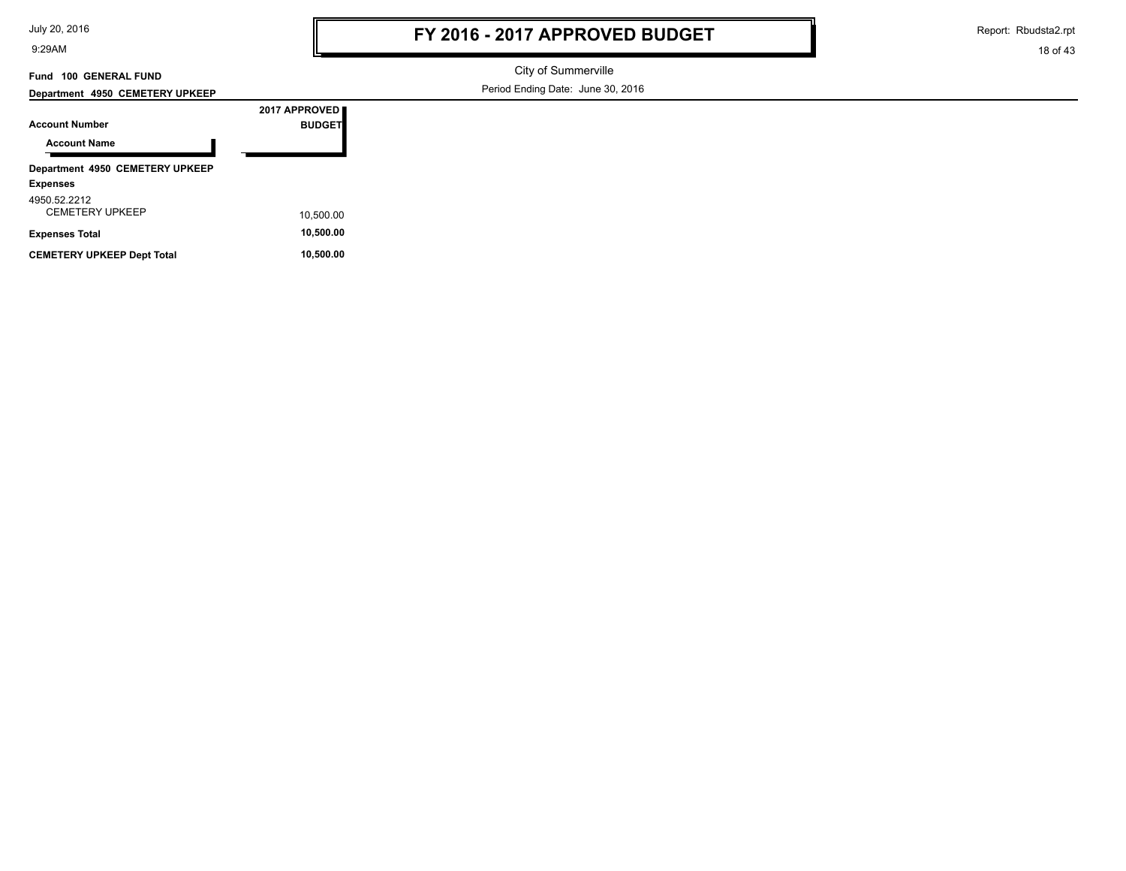| July 20, 2016 |
|---------------|
|---------------|

Report: Rbudsta2.rpt

18 of 43

#### **Fund 100 GENERAL FUND**

**Department 4950 CEMETERY UPKEEP**

City of Summerville Period Ending Date: June 30, 2016

|                     | Department 4990 OLIMETERT OF REEF |  |
|---------------------|-----------------------------------|--|
|                     |                                   |  |
| Annatival Millenbau |                                   |  |

| <b>Account Number</b>                              | 2017 APPROVED<br><b>BUDGET</b> |
|----------------------------------------------------|--------------------------------|
| <b>Account Name</b>                                |                                |
| Department 4950 CEMETERY UPKEEP<br><b>Expenses</b> |                                |
| 4950.52.2212<br><b>CEMETERY UPKEEP</b>             | 10,500.00                      |
| <b>Expenses Total</b>                              | 10,500.00                      |
| <b>CEMETERY UPKEEP Dept Total</b>                  | 10,500.00                      |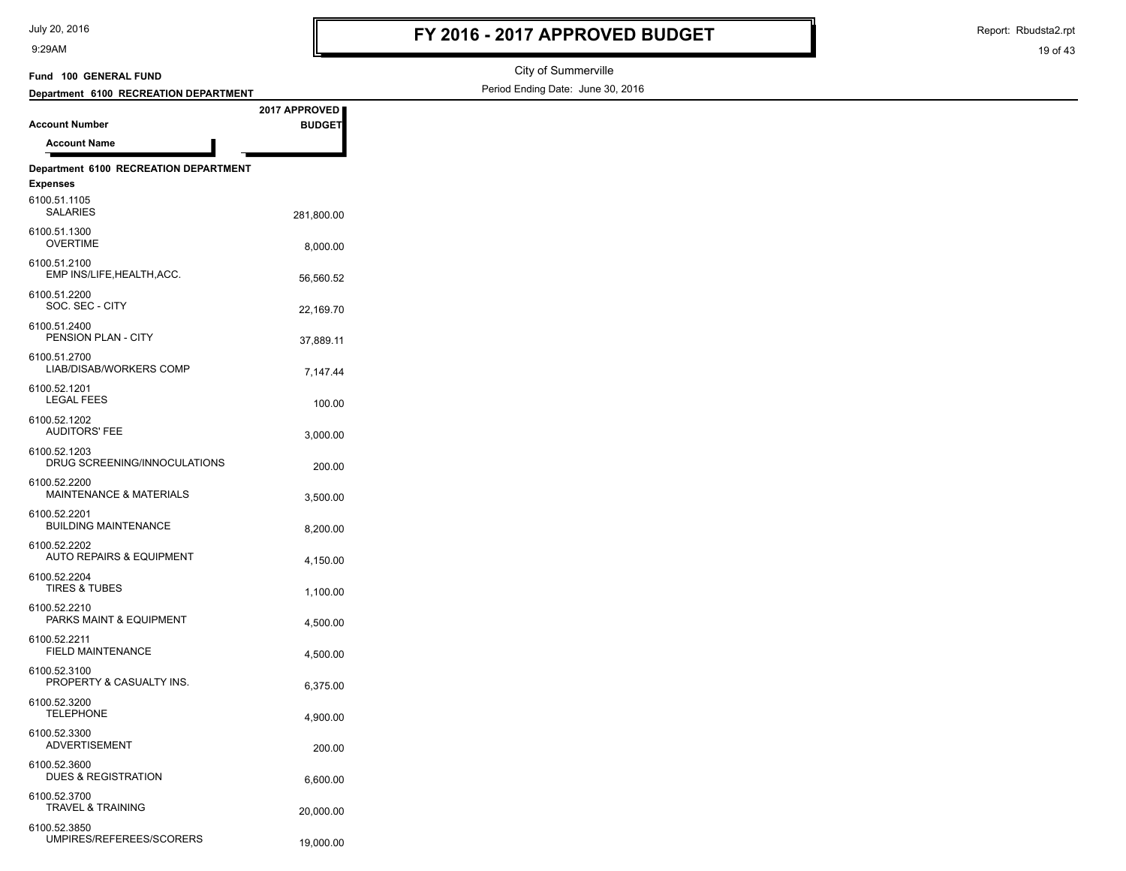Report: Rbudsta2.rpt

| Fund 100 GENERAL FUND                        |               | City of Summerville               |
|----------------------------------------------|---------------|-----------------------------------|
| Department 6100 RECREATION DEPARTMENT        |               | Period Ending Date: June 30, 2016 |
|                                              | 2017 APPROVED |                                   |
| <b>Account Number</b>                        | <b>BUDGET</b> |                                   |
| <b>Account Name</b>                          |               |                                   |
| Department 6100 RECREATION DEPARTMENT        |               |                                   |
| <b>Expenses</b>                              |               |                                   |
| 6100.51.1105<br><b>SALARIES</b>              | 281,800.00    |                                   |
| 6100.51.1300<br><b>OVERTIME</b>              | 8,000.00      |                                   |
| 6100.51.2100<br>EMP INS/LIFE, HEALTH, ACC.   | 56,560.52     |                                   |
| 6100.51.2200<br>SOC. SEC - CITY              | 22,169.70     |                                   |
| 6100.51.2400<br>PENSION PLAN - CITY          | 37,889.11     |                                   |
| 6100.51.2700<br>LIAB/DISAB/WORKERS COMP      | 7,147.44      |                                   |
| 6100.52.1201<br><b>LEGAL FEES</b>            | 100.00        |                                   |
| 6100.52.1202<br><b>AUDITORS' FEE</b>         | 3,000.00      |                                   |
| 6100.52.1203<br>DRUG SCREENING/INNOCULATIONS | 200.00        |                                   |
| 6100.52.2200<br>MAINTENANCE & MATERIALS      | 3,500.00      |                                   |
| 6100.52.2201<br><b>BUILDING MAINTENANCE</b>  | 8,200.00      |                                   |
| 6100.52.2202<br>AUTO REPAIRS & EQUIPMENT     | 4,150.00      |                                   |
| 6100.52.2204<br><b>TIRES &amp; TUBES</b>     | 1,100.00      |                                   |
| 6100.52.2210<br>PARKS MAINT & EQUIPMENT      | 4,500.00      |                                   |
| 6100.52.2211<br>FIELD MAINTENANCE            | 4,500.00      |                                   |
| 6100.52.3100<br>PROPERTY & CASUALTY INS.     | 6,375.00      |                                   |
| 6100.52.3200<br><b>TELEPHONE</b>             | 4,900.00      |                                   |
| 6100.52.3300<br>ADVERTISEMENT                | 200.00        |                                   |
| 6100.52.3600<br>DUES & REGISTRATION          | 6,600.00      |                                   |
| 6100.52.3700<br>TRAVEL & TRAINING            | 20,000.00     |                                   |
| 6100.52.3850<br>UMPIRES/REFEREES/SCORERS     | 19,000.00     |                                   |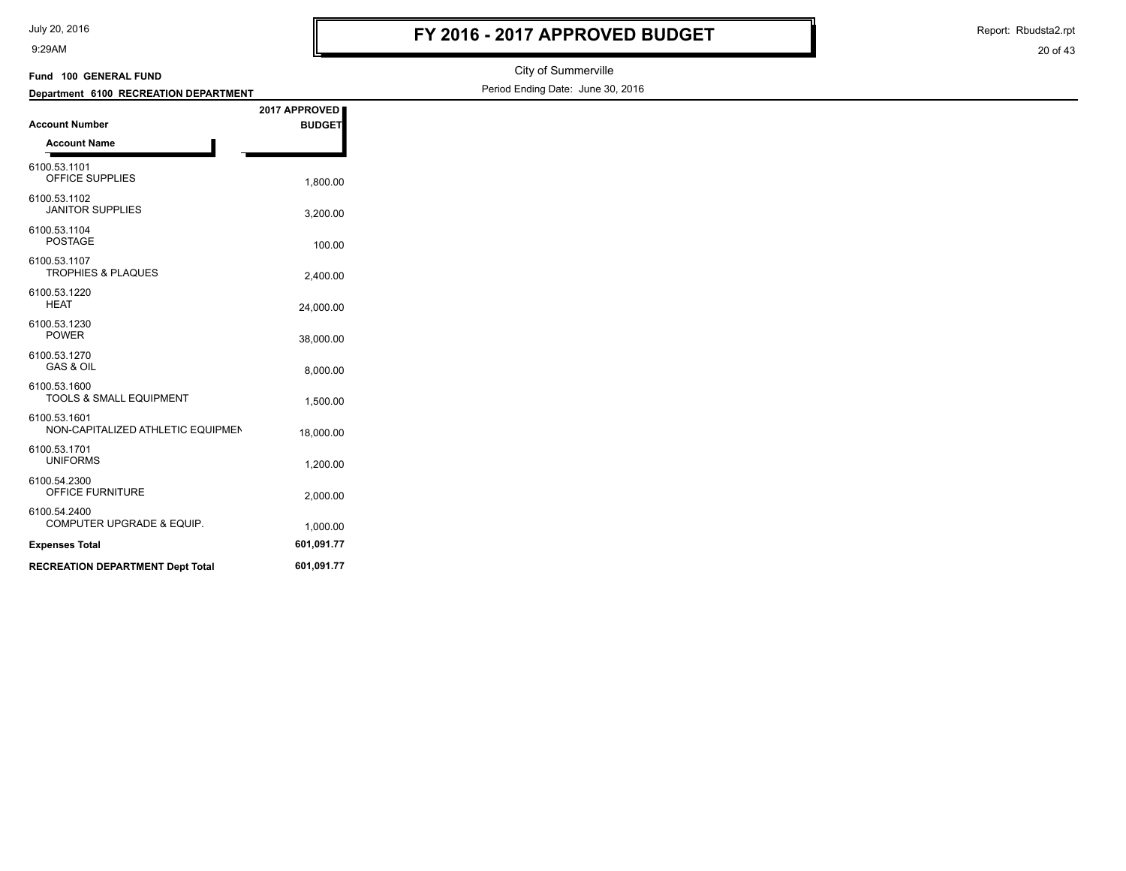| July 20, 2016 |  |
|---------------|--|
|---------------|--|

Report: Rbudsta2.rpt

| Fund 100 GENERAL FUND                             |               | City of Summerville               |
|---------------------------------------------------|---------------|-----------------------------------|
| Department 6100 RECREATION DEPARTMENT             |               | Period Ending Date: June 30, 2016 |
|                                                   | 2017 APPROVED |                                   |
| <b>Account Number</b>                             | <b>BUDGET</b> |                                   |
| <b>Account Name</b>                               |               |                                   |
| 6100.53.1101<br>OFFICE SUPPLIES                   | 1,800.00      |                                   |
| 6100.53.1102<br><b>JANITOR SUPPLIES</b>           | 3,200.00      |                                   |
| 6100.53.1104<br>POSTAGE                           | 100.00        |                                   |
| 6100.53.1107<br>TROPHIES & PLAQUES                | 2,400.00      |                                   |
| 6100.53.1220<br><b>HEAT</b>                       | 24,000.00     |                                   |
| 6100.53.1230<br><b>POWER</b>                      | 38,000.00     |                                   |
| 6100.53.1270<br>GAS & OIL                         | 8,000.00      |                                   |
| 6100.53.1600<br>TOOLS & SMALL EQUIPMENT           | 1,500.00      |                                   |
| 6100.53.1601<br>NON-CAPITALIZED ATHLETIC EQUIPMEN | 18,000.00     |                                   |
| 6100.53.1701<br><b>UNIFORMS</b>                   | 1,200.00      |                                   |
| 6100.54.2300<br>OFFICE FURNITURE                  | 2,000.00      |                                   |
| 6100.54.2400<br>COMPUTER UPGRADE & EQUIP.         | 1,000.00      |                                   |
| <b>Expenses Total</b>                             | 601,091.77    |                                   |
| <b>RECREATION DEPARTMENT Dept Total</b>           | 601,091.77    |                                   |
|                                                   |               |                                   |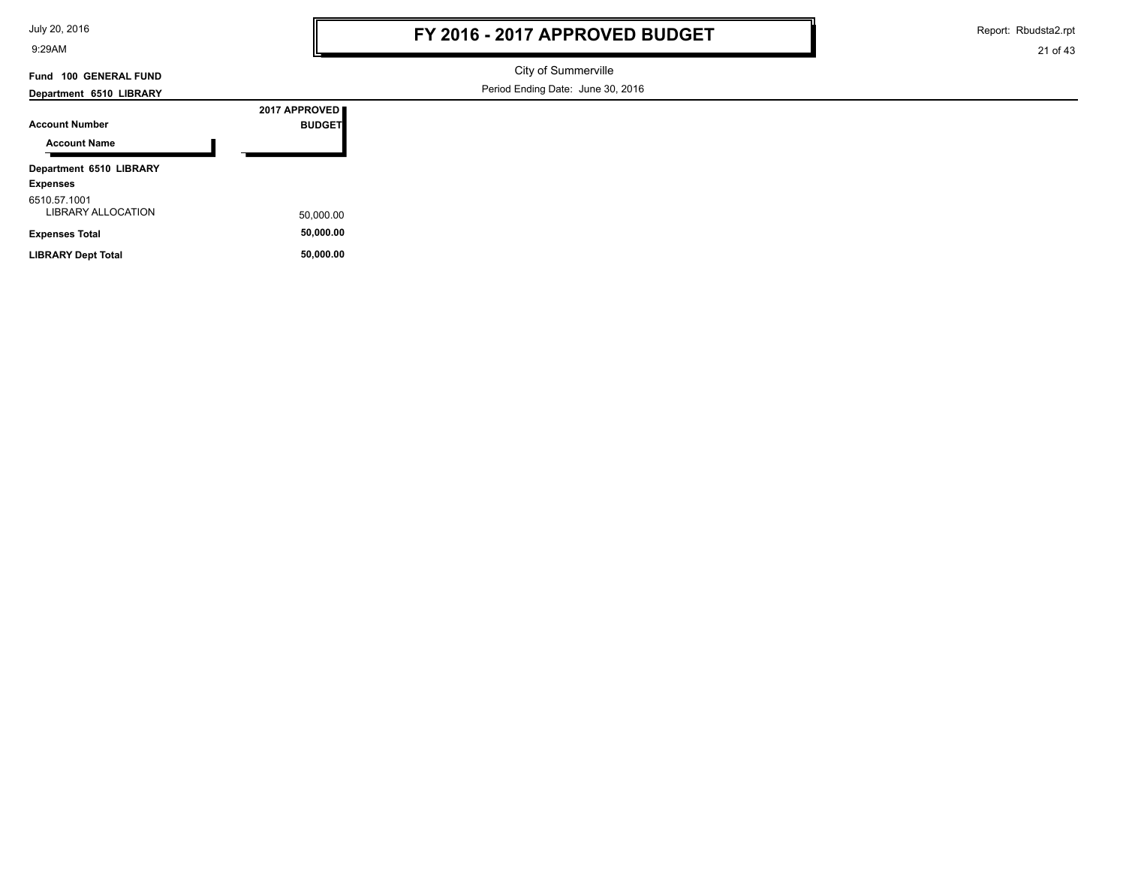| July 20, 2016 |  |  |  |  |
|---------------|--|--|--|--|
|---------------|--|--|--|--|

Report: Rbudsta2.rpt

21 of 43

# **Fund 100 GENERAL FUND**

City of Summerville

**Department 6510 LIBRARY**

Period Ending Date: June 30, 2016

| <b>Account Number</b>                     | 2017 APPROVED<br><b>BUDGET</b> |
|-------------------------------------------|--------------------------------|
| <b>Account Name</b>                       |                                |
| Department 6510 LIBRARY                   |                                |
| <b>Expenses</b>                           |                                |
| 6510.57.1001<br><b>LIBRARY ALLOCATION</b> | 50,000.00                      |
| <b>Expenses Total</b>                     | 50,000.00                      |
| <b>LIBRARY Dept Total</b>                 | 50.000.00                      |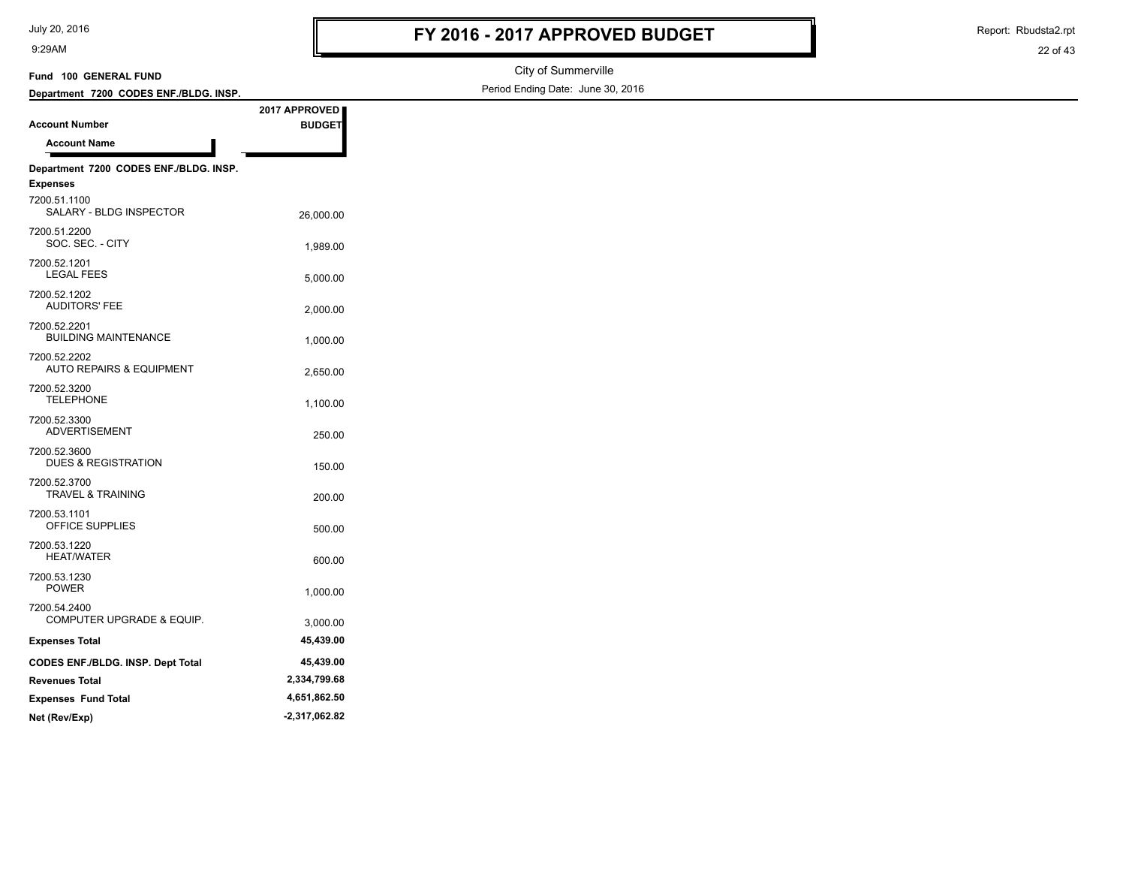7200.52.3700

7200.53.1101

7200.53.1220

7200.53.1230

7200.54.2400

9:29AM

City of Summerville

Period Ending Date: June 30, 2016

Report: Rbudsta2.rpt

#### 22 of 43

#### **Account Number Department 7200 CODES ENF./BLDG. INSP. Fund 100 GENERAL FUND 2017 APPROVED BUDGET Account Name Department 7200 CODES ENF./BLDG. INSP. Expenses** 26,000.00 SALARY - BLDG INSPECTOR 7200.51.1100 1,989.00 SOC. SEC. - CITY 7200.51.2200 5,000.00 LEGAL FEES 7200.52.1201 2,000.00 AUDITORS' FEE 7200.52.1202 BUILDING MAINTENANCE 1,000.00 7200.52.2201 2,650.00 AUTO REPAIRS & EQUIPMENT 7200.52.2202 TELEPHONE 1,100.00 7200.52.3200 250.00 ADVERTISEMENT 7200.52.3300 7200.52.3600

DUES & REGISTRATION 150.00

200.00 TRAVEL & TRAINING

OFFICE SUPPLIES 500.00

HEAT/WATER 600.00

1,000.00 POWER

COMPUTER UPGRADE & EQUIP. 3,000.00

**Expenses Total 45,439.00 CODES ENF./BLDG. INSP. Dept Total 45,439.00 Revenues Total 2,334,799.68 Expenses Fund Total 4,651,862.50 Net (Rev/Exp) -2,317,062.82**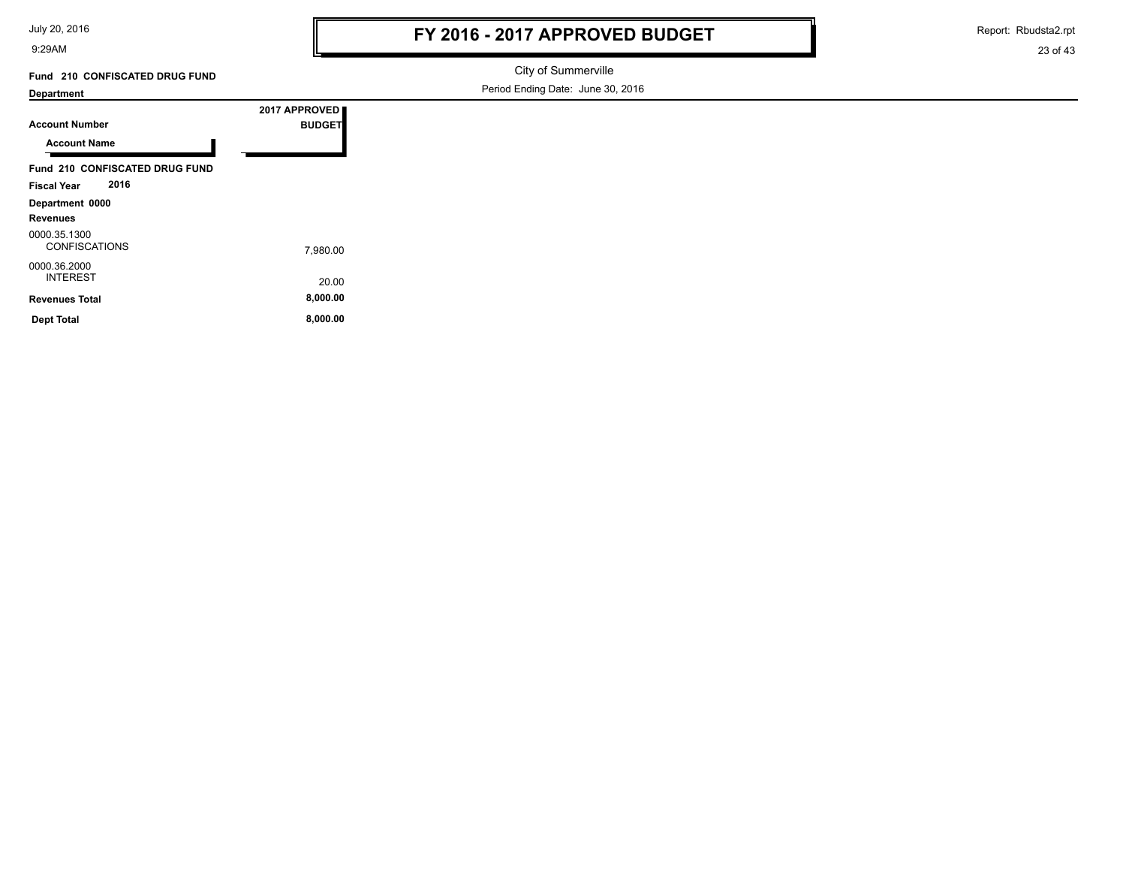July 20, 2016

9:29AM

Report: Rbudsta2.rpt

23 of 43

**Fund 210 CONFISCATED DRUG FUND**

City of Summerville Period Ending Date: June 30, 2016

#### **Department**

**Account Number**

**Department 0000 Revenues**

0000.35.1300

0000.36.2000

**Account Name**

**2017 APPROVED BUDGET Fund 210 CONFISCATED DRUG FUND Fiscal Year 2016**

7,980.00 CONFISCATIONS

20.00 INTEREST

**Revenues Total 8,000.00 Dept Total 8,000.00**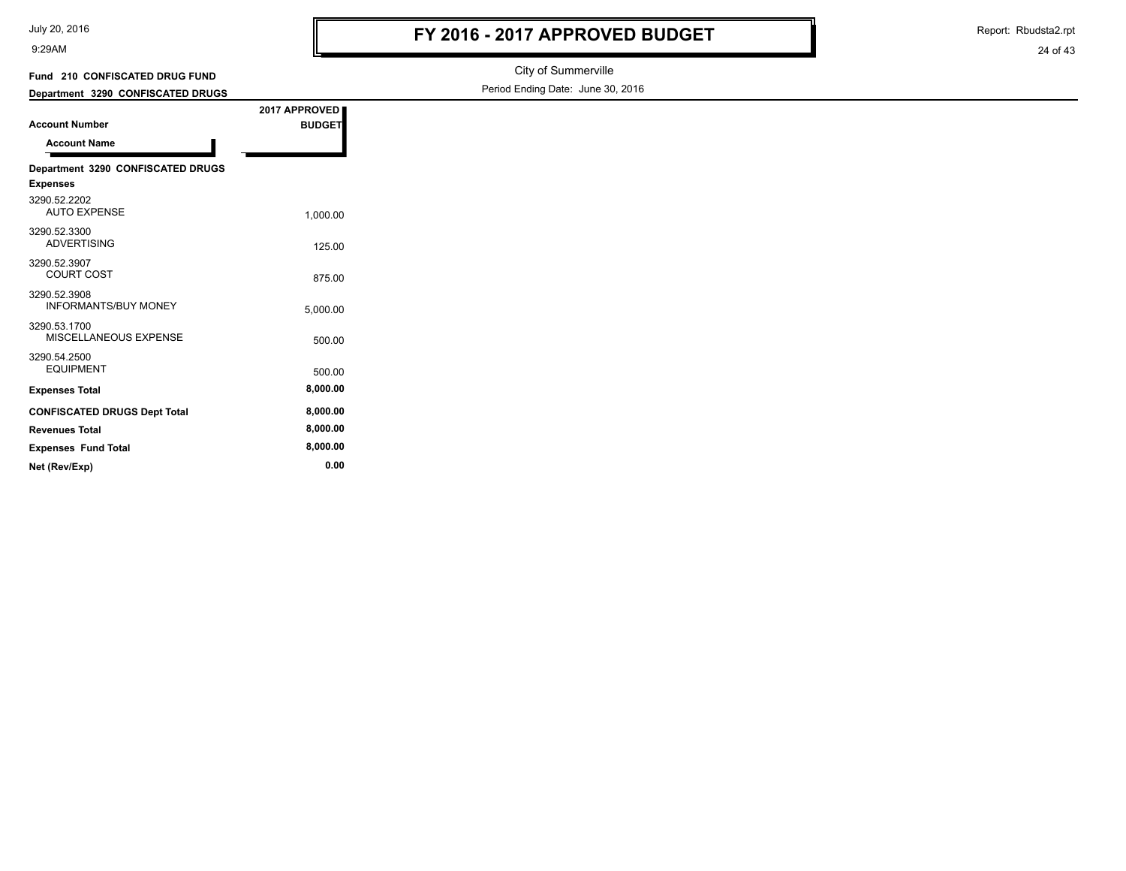| July 20, 2016 |  |
|---------------|--|
|---------------|--|

Report: Rbudsta2.rpt

24 of 43

| Fund 210 CONFISCATED DRUG FUND      |               | City of Summerville               |
|-------------------------------------|---------------|-----------------------------------|
| Department 3290 CONFISCATED DRUGS   |               | Period Ending Date: June 30, 2016 |
|                                     | 2017 APPROVED |                                   |
| <b>Account Number</b>               | <b>BUDGET</b> |                                   |
| <b>Account Name</b>                 |               |                                   |
| Department 3290 CONFISCATED DRUGS   |               |                                   |
| <b>Expenses</b>                     |               |                                   |
| 3290.52.2202                        |               |                                   |
| <b>AUTO EXPENSE</b>                 | 1.000.00      |                                   |
| 3290.52.3300<br><b>ADVERTISING</b>  |               |                                   |
|                                     | 125.00        |                                   |
| 3290.52.3907<br><b>COURT COST</b>   | 875.00        |                                   |
| 3290.52.3908                        |               |                                   |
| <b>INFORMANTS/BUY MONEY</b>         | 5,000.00      |                                   |
| 3290.53.1700                        |               |                                   |
| MISCELLANEOUS EXPENSE               | 500.00        |                                   |
| 3290.54.2500                        |               |                                   |
| <b>EQUIPMENT</b>                    | 500.00        |                                   |
| <b>Expenses Total</b>               | 8,000.00      |                                   |
| <b>CONFISCATED DRUGS Dept Total</b> | 8,000.00      |                                   |
| <b>Revenues Total</b>               | 8,000.00      |                                   |

**Expenses Fund Total 8,000.00 Net (Rev/Exp) 0.00**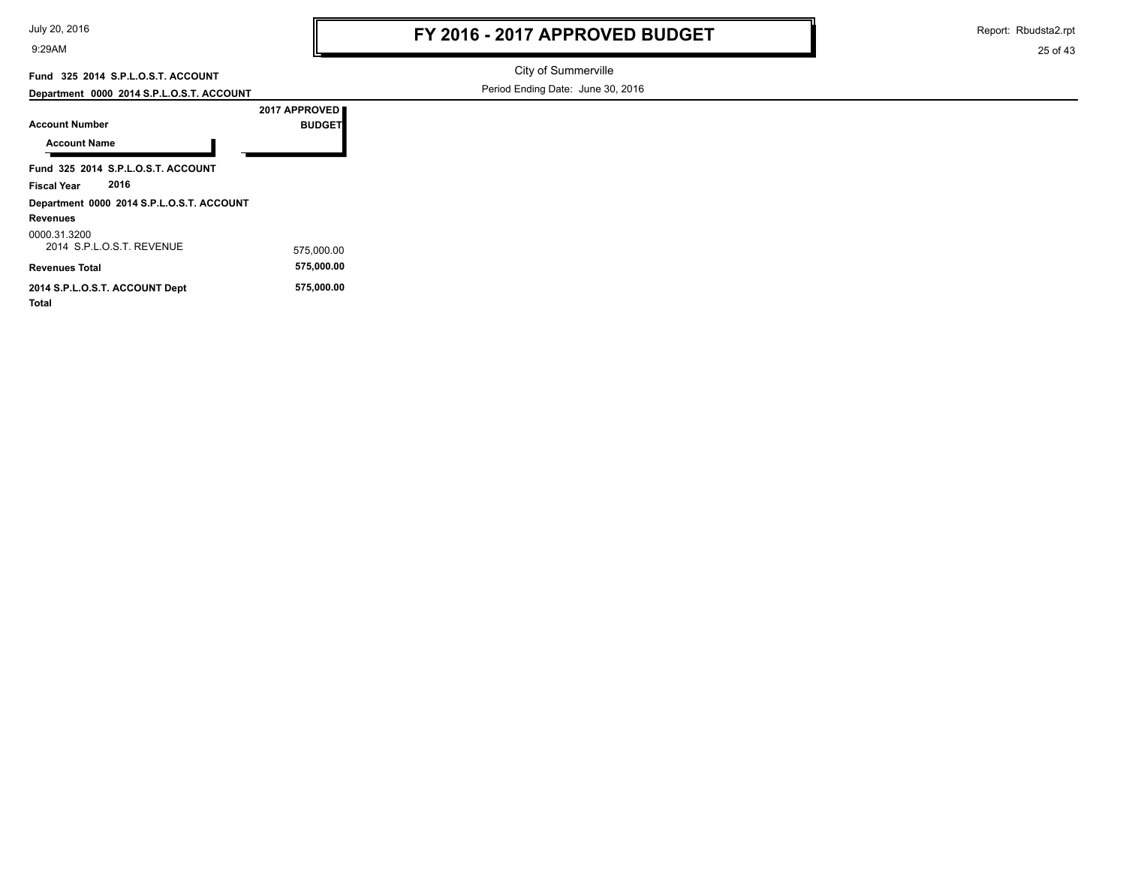Report: Rbudsta2.rpt

25 of 43

### **Fund 325 2014 S.P.L.O.S.T. ACCOUNT**

**Department 0000 2014 S.P.L.O.S.T. ACCOUNT**

City of Summerville Period Ending Date: June 30, 2016

| <b>Account Number</b>                     | 2017 APPROVED<br><b>BUDGET</b> |  |
|-------------------------------------------|--------------------------------|--|
| <b>Account Name</b>                       |                                |  |
| Fund 325 2014 S.P.L.O.S.T. ACCOUNT        |                                |  |
| 2016<br>Fiscal Year                       |                                |  |
| Department 0000 2014 S.P.L.O.S.T. ACCOUNT |                                |  |
| <b>Revenues</b>                           |                                |  |
| 0000 31 3200<br>2014 SPIOST REVENUE       | 575.000.00                     |  |
| <b>Revenues Total</b>                     | 575,000.00                     |  |
| 2014 S.P.L.O.S.T. ACCOUNT Dept<br>Total   | 575,000.00                     |  |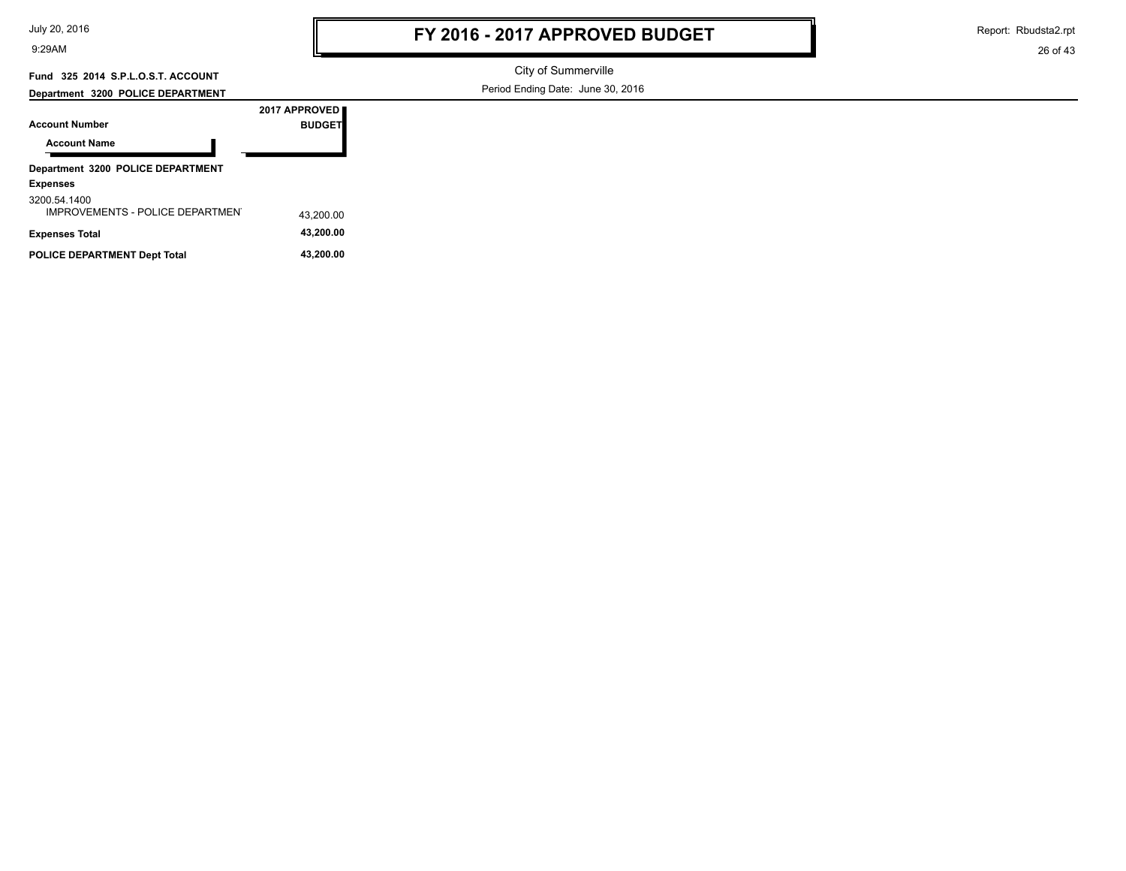| July 20, 2016 |
|---------------|
|---------------|

Report: Rbudsta2.rpt

26 of 43

# **Fund 325 2014 S.P.L.O.S.T. ACCOUNT**

City of Summerville

|  | Department 3200 POLICE DEPARTMENT |
|--|-----------------------------------|
|  |                                   |

Period Ending Date: June 30, 2016

| <b>Account Number</b>                            | 2017 APPROVED<br><b>BUDGET</b> |  |  |  |
|--------------------------------------------------|--------------------------------|--|--|--|
| <b>Account Name</b>                              |                                |  |  |  |
| Department 3200 POLICE DEPARTMENT                |                                |  |  |  |
| <b>Expenses</b>                                  |                                |  |  |  |
| 3200.54.1400<br>IMPROVEMENTS - POLICE DEPARTMENT | 43.200.00                      |  |  |  |
| <b>Expenses Total</b>                            | 43,200.00                      |  |  |  |
| <b>POLICE DEPARTMENT Dept Total</b>              | 43.200.00                      |  |  |  |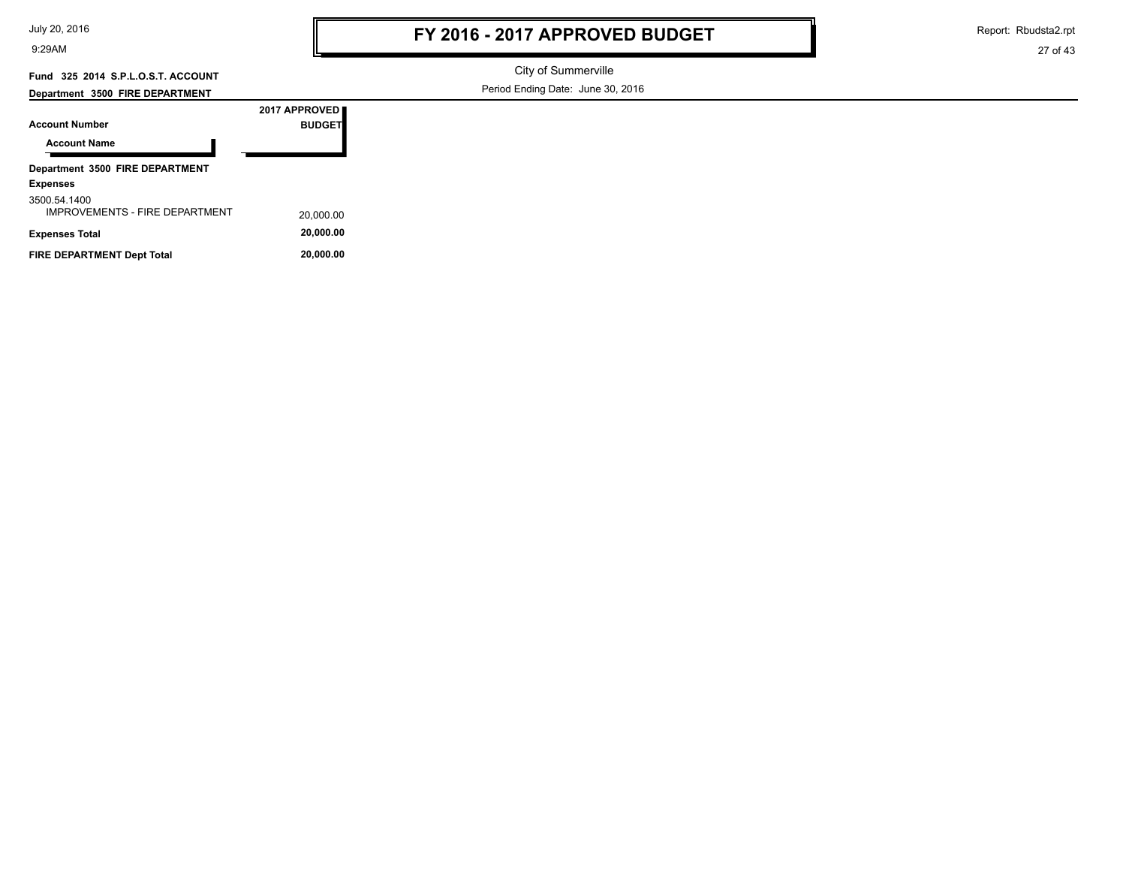| July 20, 2016 |  |  |
|---------------|--|--|
|---------------|--|--|

Report: Rbudsta2.rpt

27 of 43

# **Fund 325 2014 S.P.L.O.S.T. ACCOUNT**

City of Summerville Period Ending Date: June 30, 2016

#### **Department 3500 FIRE DEPARTMENT**

| <b>Account Number</b>                                 | 2017 APPROVED<br><b>BUDGET</b> |
|-------------------------------------------------------|--------------------------------|
| <b>Account Name</b>                                   |                                |
| Department 3500 FIRE DEPARTMENT                       |                                |
| <b>Expenses</b>                                       |                                |
| 3500.54.1400<br><b>IMPROVEMENTS - FIRE DEPARTMENT</b> | 20,000.00                      |
| <b>Expenses Total</b>                                 | 20,000.00                      |

FIRE DEPARTMENT Dept Total **20,000.00**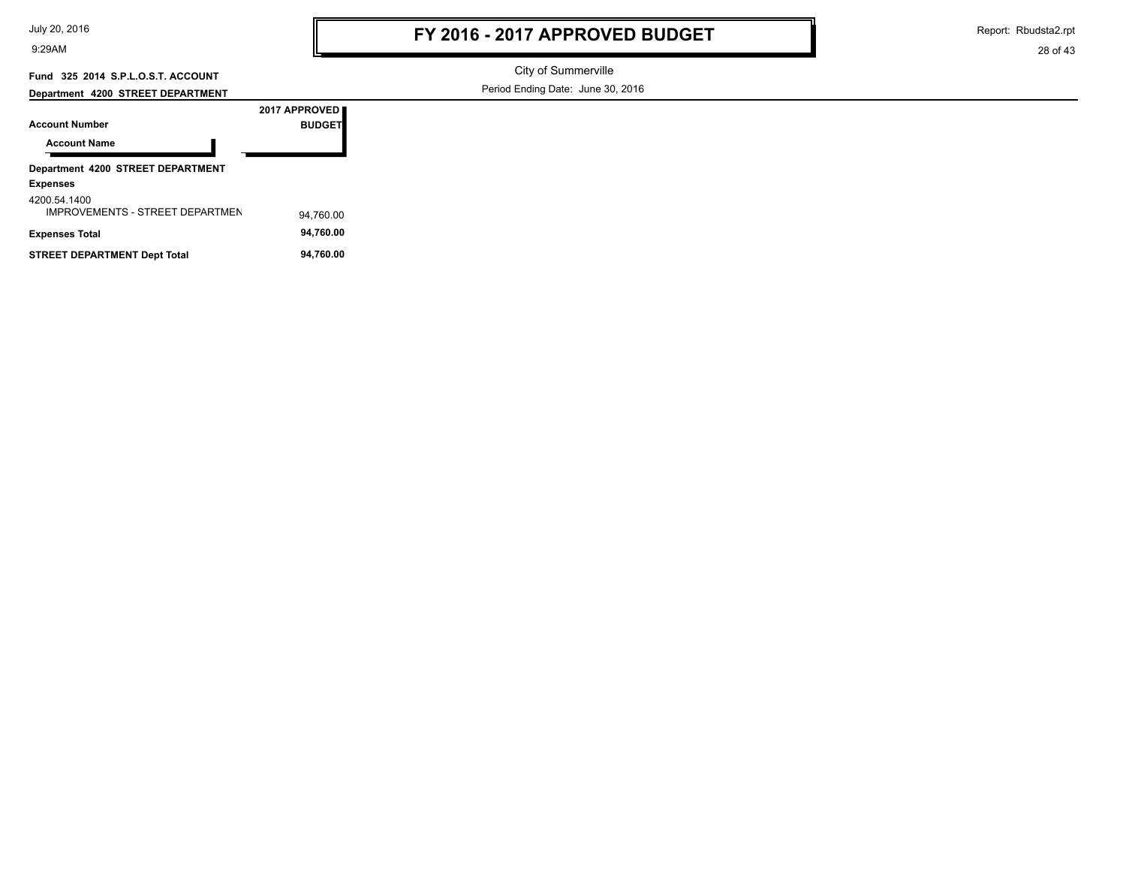| July 20, 2016 |
|---------------|
|---------------|

Report: Rbudsta2.rpt

28 of 43

## **Fund 325 2014 S.P.L.O.S.T. ACCOUNT**

City of Summerville Period Ending Date: June 30, 2016

| Department 4200 STREET DEPARTMENT |               |
|-----------------------------------|---------------|
|                                   | 2017 APPROVED |
| <b>Account Number</b>             | <b>BUDGET</b> |
| <b>Account Name</b>               |               |
|                                   |               |
| Department 4200 STREET DEPARTMENT |               |
| <b>Expenses</b>                   |               |

#### 4200.54.1400

| 4200.J4.I400<br><b>IMPROVEMENTS - STREET DEPARTMEN</b> | 94.760.00 |
|--------------------------------------------------------|-----------|
| Expenses Total                                         | 94.760.00 |
| STREET DEPARTMENT Dept Total                           | 94.760.00 |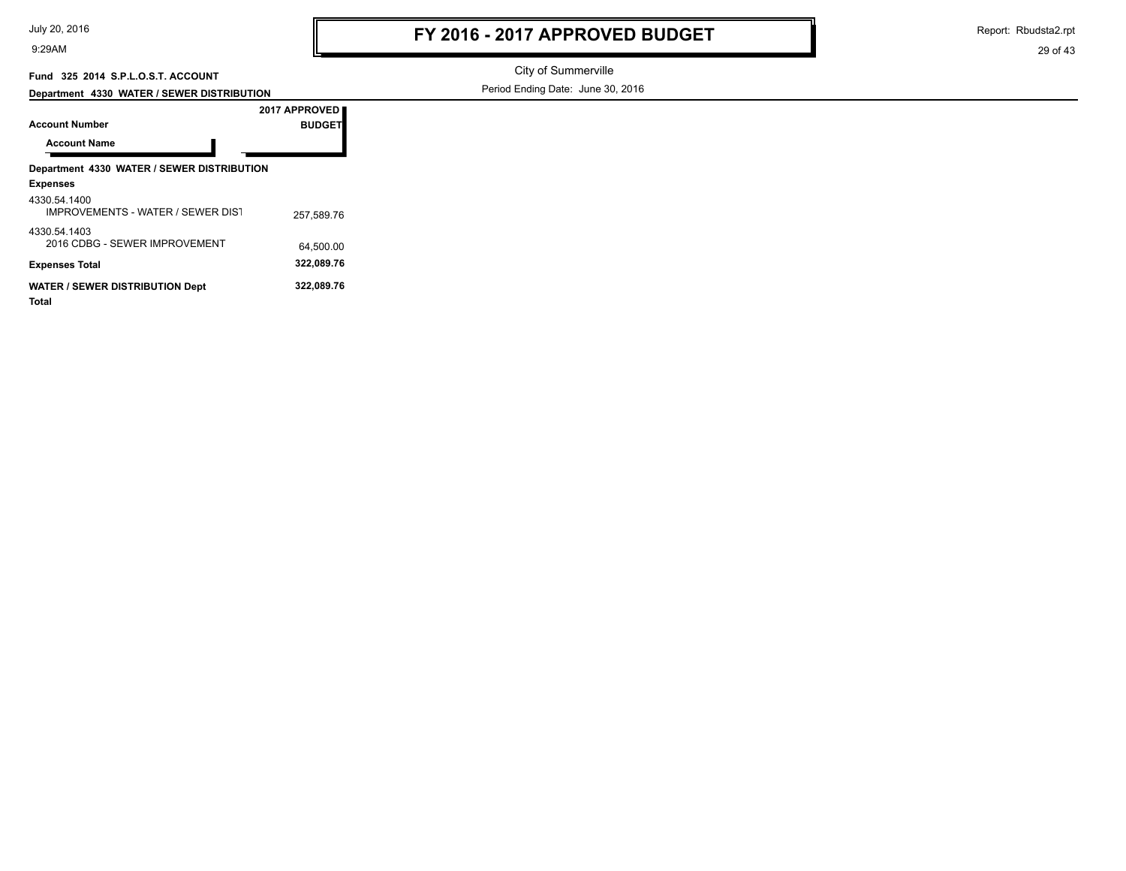Report: Rbudsta2.rpt

29 of 43

## **Fund 325 2014 S.P.L.O.S.T. ACCOUNT**

**Department 4330 WATER / SEWER DISTRIBUTION**

City of Summerville

Period Ending Date: June 30, 2016

| 2017 APPROVED                                            |               |  |  |  |
|----------------------------------------------------------|---------------|--|--|--|
| <b>Account Number</b>                                    | <b>BUDGET</b> |  |  |  |
| <b>Account Name</b>                                      |               |  |  |  |
| Department 4330 WATER / SEWER DISTRIBUTION               |               |  |  |  |
| <b>Expenses</b>                                          |               |  |  |  |
| 4330.54.1400<br><b>IMPROVEMENTS - WATER / SEWER DIST</b> | 257.589.76    |  |  |  |
| 4330.54.1403<br>2016 CDBG - SEWER IMPROVEMENT            | 64.500.00     |  |  |  |
| <b>Expenses Total</b>                                    | 322,089.76    |  |  |  |
| <b>WATER / SEWER DISTRIBUTION Dept</b><br>Total          | 322,089.76    |  |  |  |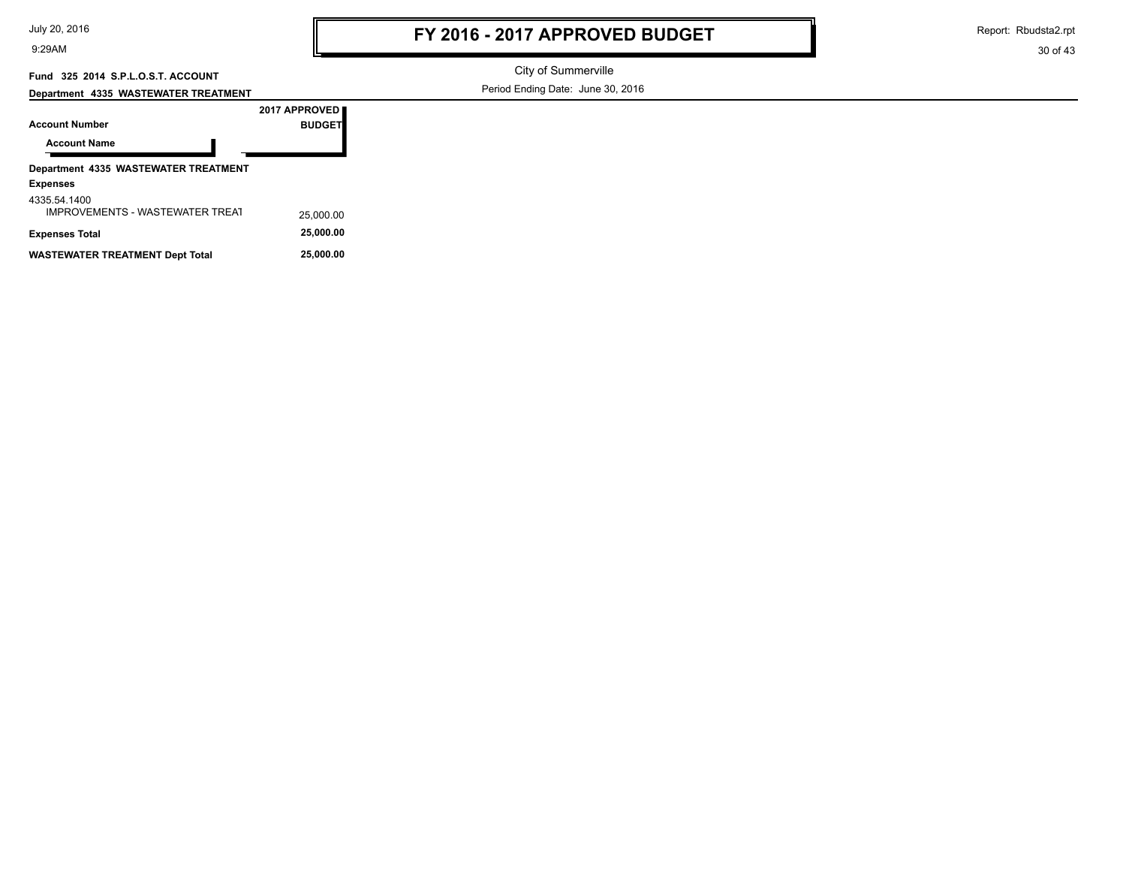Report: Rbudsta2.rpt

30 of 43

### **Fund 325 2014 S.P.L.O.S.T. ACCOUNT**

**Department 4335 WASTEWATER TREATMENT**

City of Summerville

Period Ending Date: June 30, 2016

|                                                 | 2017 APPROVED |
|-------------------------------------------------|---------------|
| <b>Account Number</b>                           | <b>BUDGET</b> |
| <b>Account Name</b>                             |               |
| Department 4335 WASTEWATER TREATMENT            |               |
| <b>Expenses</b>                                 |               |
| 4335.54.1400<br>IMPROVEMENTS - WASTEWATER TREAT | 25,000.00     |
| <b>Expenses Total</b>                           | 25,000.00     |

**WASTEWATER TREATMENT Dept Total 25,000.00**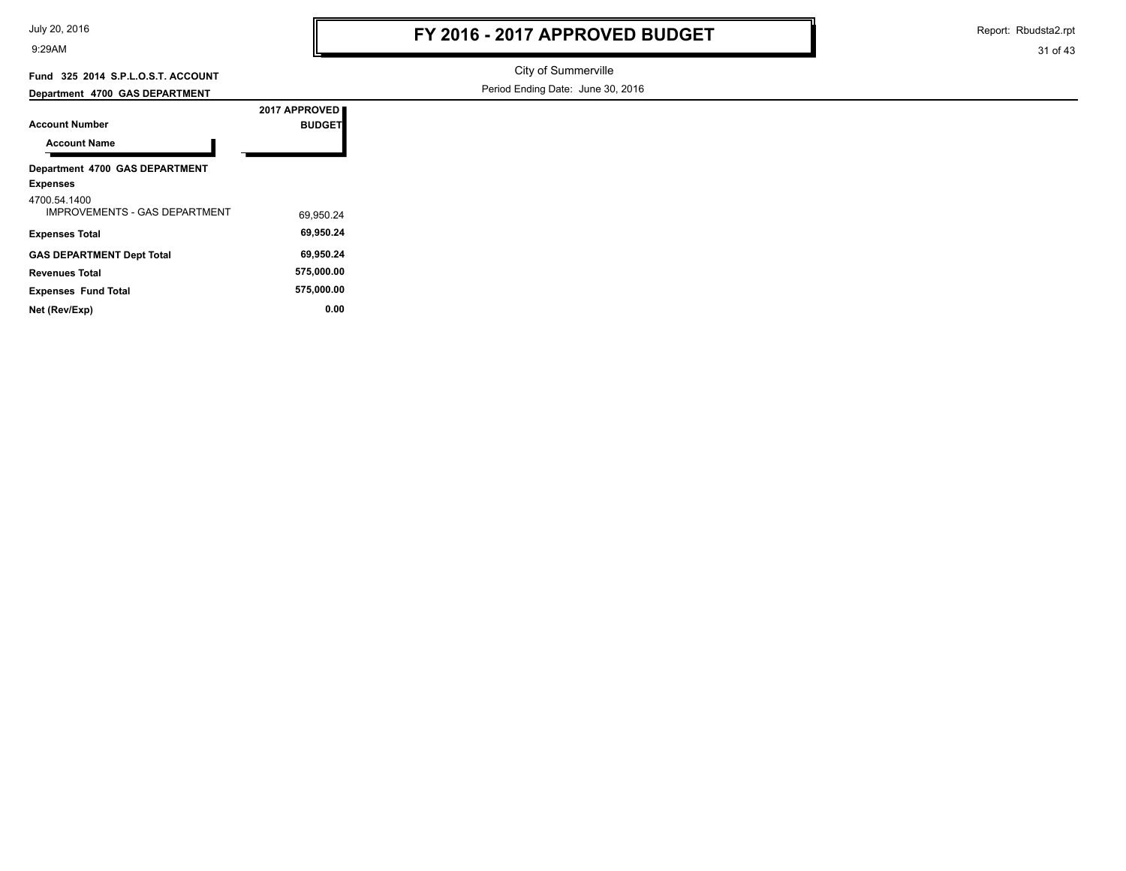| July 20, 2016 |  |  |  |
|---------------|--|--|--|
|---------------|--|--|--|

Report: Rbudsta2.rpt

#### 31 of 43

### **Fund 325 2014 S.P.L.O.S.T. ACCOUNT**

City of Summerville Period Ending Date: June 30, 2016

#### **Department 4700 GAS DEPARTMENT**

| <b>Account Number</b>                                | 2017 APPROVED<br><b>BUDGET</b> |  |
|------------------------------------------------------|--------------------------------|--|
| <b>Account Name</b>                                  |                                |  |
| Department 4700 GAS DEPARTMENT<br><b>Expenses</b>    |                                |  |
| 4700.54.1400<br><b>IMPROVEMENTS - GAS DEPARTMENT</b> | 69.950.24                      |  |
| <b>Expenses Total</b>                                | 69.950.24                      |  |
| <b>GAS DEPARTMENT Dept Total</b>                     | 69.950.24                      |  |
| <b>Revenues Total</b>                                | 575.000.00                     |  |

**Expenses Fund Total 575,000.00 Net (Rev/Exp) 0.00**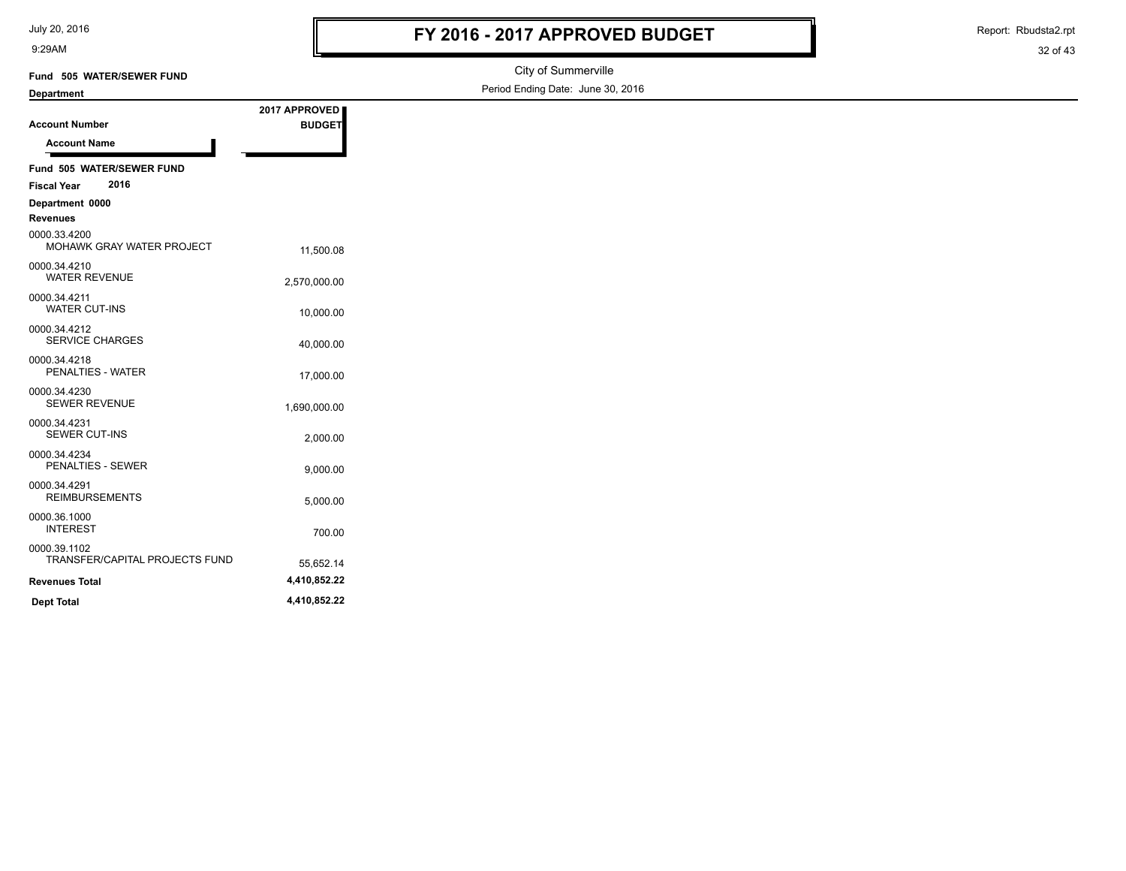July 20, 2016

Report: Rbudsta2.rpt

| $0$ uly $20, 20, 0$<br>9:29AM                  |                                | FY 2016 - 2017 APPROVED BUDGET    |  |  |
|------------------------------------------------|--------------------------------|-----------------------------------|--|--|
| Fund 505 WATER/SEWER FUND                      | City of Summerville            |                                   |  |  |
| <b>Department</b>                              |                                | Period Ending Date: June 30, 2016 |  |  |
| <b>Account Number</b><br><b>Account Name</b>   | 2017 APPROVED<br><b>BUDGET</b> |                                   |  |  |
| Fund 505 WATER/SEWER FUND                      |                                |                                   |  |  |
| 2016<br><b>Fiscal Year</b>                     |                                |                                   |  |  |
| Department 0000<br>Revenues                    |                                |                                   |  |  |
| 0000.33.4200<br>MOHAWK GRAY WATER PROJECT      | 11,500.08                      |                                   |  |  |
| 0000.34.4210<br><b>WATER REVENUE</b>           | 2,570,000.00                   |                                   |  |  |
| 0000.34.4211<br><b>WATER CUT-INS</b>           | 10,000.00                      |                                   |  |  |
| 0000.34.4212<br><b>SERVICE CHARGES</b>         | 40,000.00                      |                                   |  |  |
| 0000.34.4218<br>PENALTIES - WATER              | 17,000.00                      |                                   |  |  |
| 0000.34.4230<br><b>SEWER REVENUE</b>           | 1,690,000.00                   |                                   |  |  |
| 0000.34.4231<br><b>SEWER CUT-INS</b>           | 2,000.00                       |                                   |  |  |
| 0000.34.4234<br><b>PENALTIES - SEWER</b>       | 9,000.00                       |                                   |  |  |
| 0000.34.4291<br><b>REIMBURSEMENTS</b>          | 5,000.00                       |                                   |  |  |
| 0000.36.1000<br><b>INTEREST</b>                | 700.00                         |                                   |  |  |
| 0000.39.1102<br>TRANSFER/CAPITAL PROJECTS FUND | 55,652.14                      |                                   |  |  |
| <b>Revenues Total</b>                          | 4,410,852.22                   |                                   |  |  |
| <b>Dept Total</b>                              | 4,410,852.22                   |                                   |  |  |
|                                                |                                |                                   |  |  |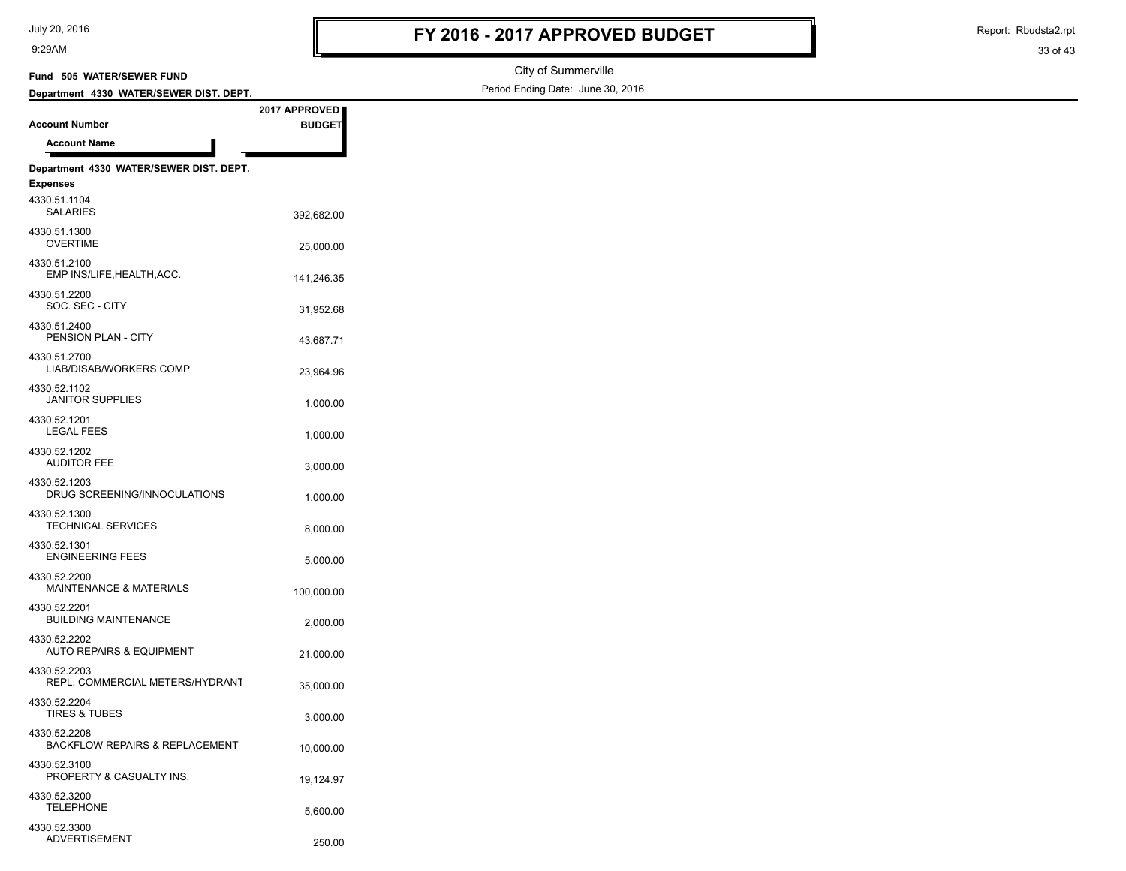PROPERTY & CASUALTY INS. 19,124.97

5,600.00 TELEPHONE

250.00 ADVERTISEMENT

4330.52.3200

4330.52.3300

9:29AM

Report: Rbudsta2.rpt

33 of 43

#### City of Summerville Period Ending Date: June 30, 2016 **Account Number Department 4330 WATER/SEWER DIST. DEPT. Fund 505 WATER/SEWER FUND 2017 APPROVED BUDGET Account Name Department 4330 WATER/SEWER DIST. DEPT. Expenses** 392,682.00 SALARIES 4330.51.1104 OVERTIME 25,000.00 4330.51.1300 141,246.35 EMP INS/LIFE,HEALTH,ACC. 4330.51.2100 31,952.68 SOC. SEC - CITY 4330.51.2200 PENSION PLAN - CITY 43,687.71 4330.51.2400 23,964.96 LIAB/DISAB/WORKERS COMP 4330.51.2700 1,000.00 JANITOR SUPPLIES 4330.52.1102 1,000.00 LEGAL FEES 4330.52.1201 3,000.00 AUDITOR FEE 4330.52.1202 DRUG SCREENING/INNOCULATIONS 1,000.00 4330.52.1203 TECHNICAL SERVICES 8,000.00 4330.52.1300 ENGINEERING FEES 5,000.00 4330.52.1301 MAINTENANCE & MATERIALS 100.000.00 4330.52.2200 BUILDING MAINTENANCE<br>2,000.00 4330.52.2201 21,000.00 AUTO REPAIRS & EQUIPMENT 4330.52.2202 REPL. COMMERCIAL METERS/HYDRANT 35,000.00 4330.52.2203 3,000.00 TIRES & TUBES 4330.52.2204 BACKFLOW REPAIRS & REPLACEMENT 10.000.00 4330.52.2208 4330.52.3100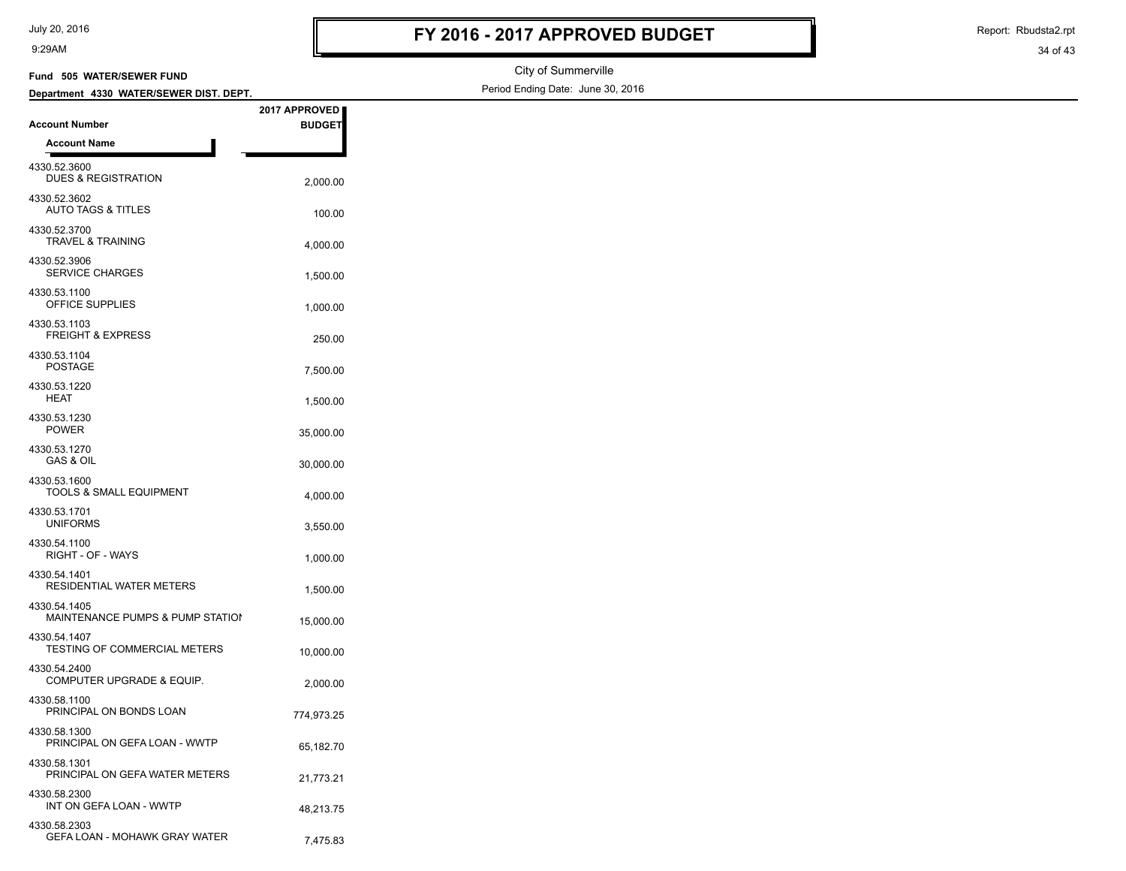|  |  | July 20, 2016 |
|--|--|---------------|
|--|--|---------------|

GEFA LOAN - MOHAWK GRAY WATER  $7,475.83$ 

9:29AM

Report: Rbudsta2.rpt

| Fund 505 WATER/SEWER FUND                                        |               | City of Summerville               |
|------------------------------------------------------------------|---------------|-----------------------------------|
| Department 4330 WATER/SEWER DIST. DEPT.                          |               | Period Ending Date: June 30, 2016 |
|                                                                  | 2017 APPROVED |                                   |
| <b>Account Number</b>                                            | <b>BUDGET</b> |                                   |
| <b>Account Name</b>                                              |               |                                   |
| 4330.52.3600<br><b>DUES &amp; REGISTRATION</b>                   | 2,000.00      |                                   |
| 4330.52.3602<br><b>AUTO TAGS &amp; TITLES</b>                    | 100.00        |                                   |
| 4330.52.3700<br><b>TRAVEL &amp; TRAINING</b>                     | 4,000.00      |                                   |
| 4330.52.3906<br>SERVICE CHARGES                                  | 1,500.00      |                                   |
| 4330.53.1100<br>OFFICE SUPPLIES                                  | 1,000.00      |                                   |
| 4330.53.1103<br><b>FREIGHT &amp; EXPRESS</b><br>4330.53.1104     | 250.00        |                                   |
| <b>POSTAGE</b><br>4330.53.1220                                   | 7,500.00      |                                   |
| <b>HEAT</b><br>4330.53.1230                                      | 1,500.00      |                                   |
| POWER<br>4330.53.1270                                            | 35,000.00     |                                   |
| <b>GAS &amp; OIL</b><br>4330.53.1600                             | 30,000.00     |                                   |
| <b>TOOLS &amp; SMALL EQUIPMENT</b>                               | 4,000.00      |                                   |
| 4330.53.1701<br><b>UNIFORMS</b>                                  | 3,550.00      |                                   |
| 4330.54.1100<br>RIGHT - OF - WAYS                                | 1,000.00      |                                   |
| 4330.54.1401<br><b>RESIDENTIAL WATER METERS</b>                  | 1,500.00      |                                   |
| 4330.54.1405<br>MAINTENANCE PUMPS & PUMP STATION<br>4330.54.1407 | 15,000.00     |                                   |
| TESTING OF COMMERCIAL METERS<br>4330.54.2400                     | 10,000.00     |                                   |
| COMPUTER UPGRADE & EQUIP.<br>4330.58.1100                        | 2,000.00      |                                   |
| PRINCIPAL ON BONDS LOAN<br>4330.58.1300                          | 774,973.25    |                                   |
| PRINCIPAL ON GEFA LOAN - WWTP<br>4330.58.1301                    | 65,182.70     |                                   |
| PRINCIPAL ON GEFA WATER METERS<br>4330.58.2300                   | 21,773.21     |                                   |
| INT ON GEFA LOAN - WWTP<br>4330.58.2303                          | 48,213.75     |                                   |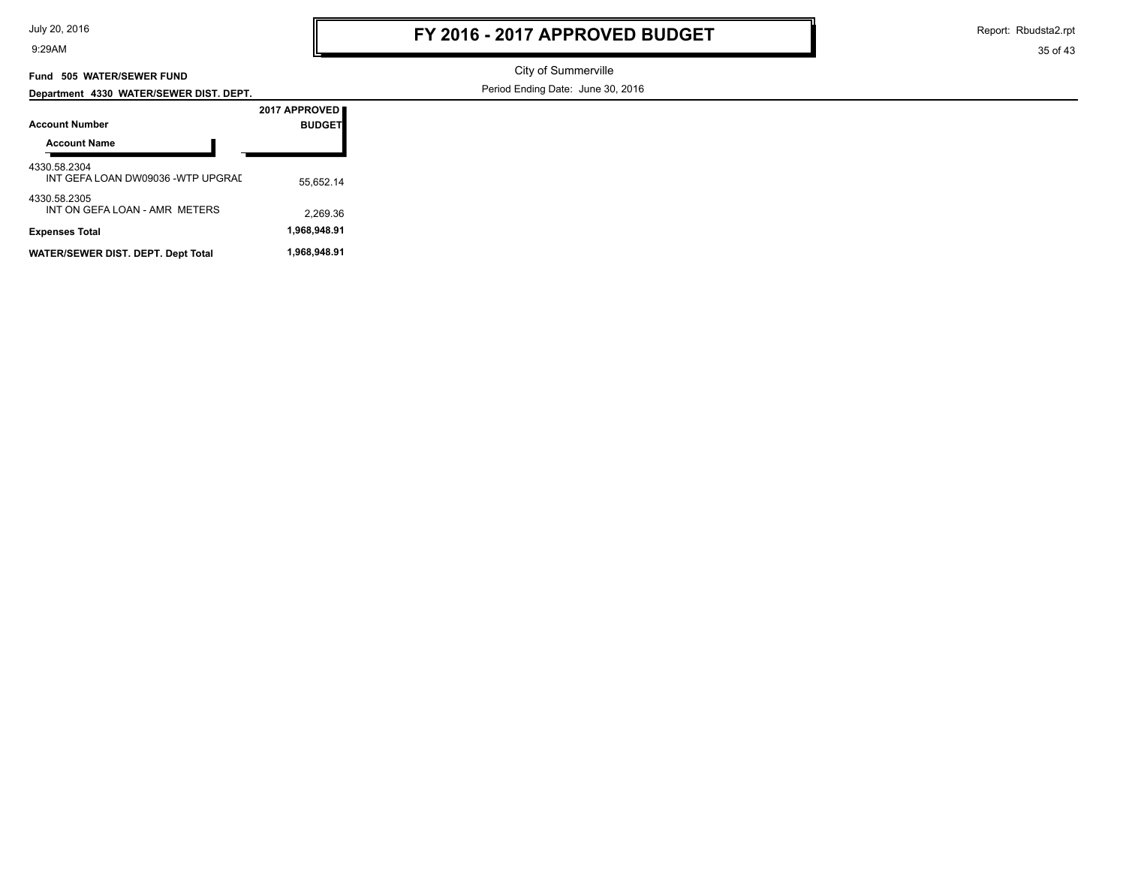| July 20, 2016 |  |  |  |
|---------------|--|--|--|
|---------------|--|--|--|

4330.58.2305

9:29AM

Report: Rbudsta2.rpt

35 of 43

#### **Fund 505 WATER/SEWER FUND**

**Department 4330 WATER/SEWER DIST. DEPT.**

City of Summerville Period Ending Date: June 30, 2016

|                                                   | 2017 APPROVED  |
|---------------------------------------------------|----------------|
| Account Number                                    | <b>BUDGETI</b> |
| <b>Account Name</b>                               |                |
| 4330.58.2304<br>INT GEFA LOAN DW09036 -WTP UPGRAI | 55.652.14      |

2,269.36 INT ON GEFA LOAN - AMR METERS

**Expenses Total 1,968,948.91** WATER/SEWER DIST. DEPT. Dept Total 1,968,948.91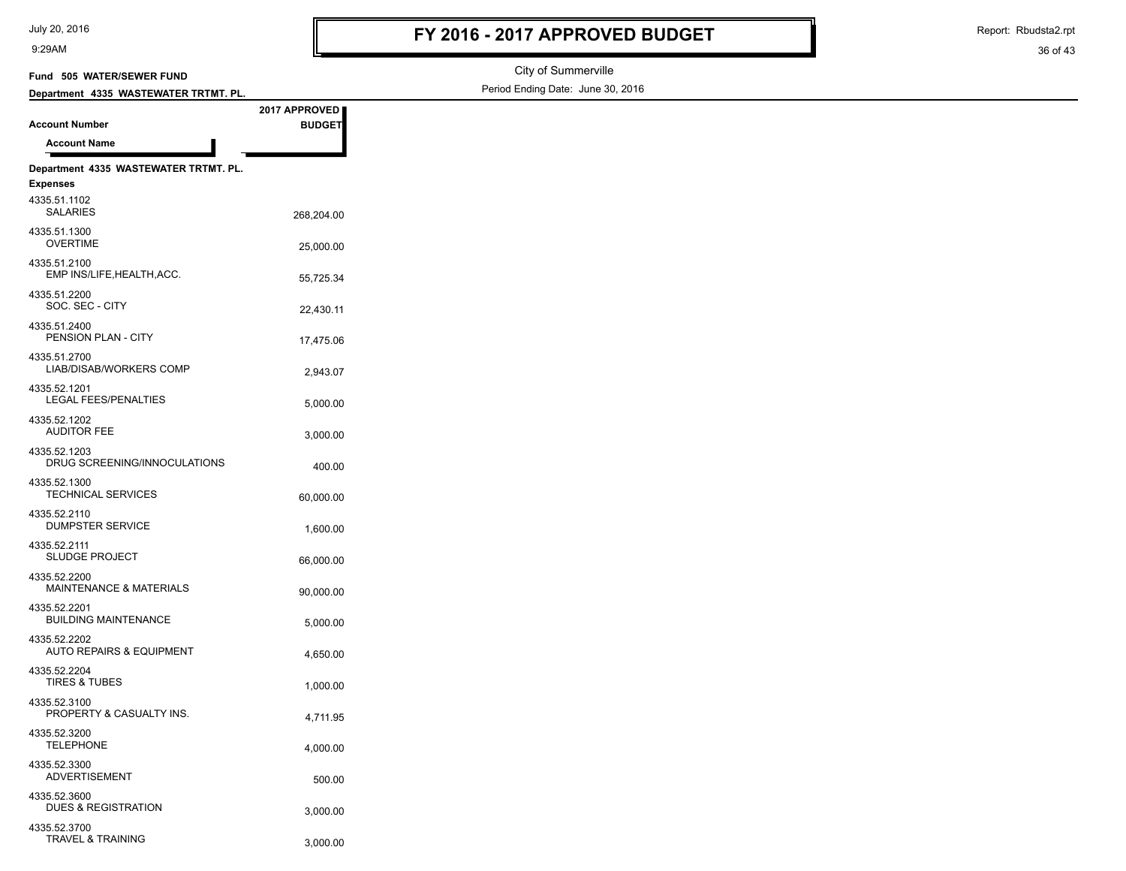Report: Rbudsta2.rpt

| Fund 505 WATER/SEWER FUND                           |               | City of Summerville               |
|-----------------------------------------------------|---------------|-----------------------------------|
| Department 4335 WASTEWATER TRTMT. PL.               |               | Period Ending Date: June 30, 2016 |
|                                                     | 2017 APPROVED |                                   |
| <b>Account Number</b>                               | <b>BUDGET</b> |                                   |
| <b>Account Name</b>                                 |               |                                   |
| Department 4335 WASTEWATER TRTMT. PL.               |               |                                   |
| <b>Expenses</b>                                     |               |                                   |
| 4335.51.1102<br>SALARIES                            | 268,204.00    |                                   |
| 4335.51.1300<br><b>OVERTIME</b>                     | 25,000.00     |                                   |
| 4335.51.2100<br>EMP INS/LIFE, HEALTH, ACC.          | 55,725.34     |                                   |
| 4335.51.2200<br>SOC. SEC - CITY                     | 22,430.11     |                                   |
| 4335.51.2400<br>PENSION PLAN - CITY                 | 17,475.06     |                                   |
| 4335.51.2700<br>LIAB/DISAB/WORKERS COMP             | 2,943.07      |                                   |
| 4335.52.1201<br>LEGAL FEES/PENALTIES                | 5,000.00      |                                   |
| 4335.52.1202<br><b>AUDITOR FEE</b>                  | 3,000.00      |                                   |
| 4335.52.1203<br>DRUG SCREENING/INNOCULATIONS        | 400.00        |                                   |
| 4335.52.1300<br><b>TECHNICAL SERVICES</b>           | 60,000.00     |                                   |
| 4335.52.2110<br><b>DUMPSTER SERVICE</b>             | 1,600.00      |                                   |
| 4335.52.2111<br><b>SLUDGE PROJECT</b>               | 66,000.00     |                                   |
| 4335.52.2200<br>MAINTENANCE & MATERIALS             | 90,000.00     |                                   |
| 4335.52.2201<br><b>BUILDING MAINTENANCE</b>         | 5,000.00      |                                   |
| 4335.52.2202<br><b>AUTO REPAIRS &amp; EQUIPMENT</b> | 4,650.00      |                                   |
| 4335.52.2204<br><b>TIRES &amp; TUBES</b>            | 1,000.00      |                                   |
| 4335.52.3100<br>PROPERTY & CASUALTY INS.            | 4,711.95      |                                   |
| 4335.52.3200<br><b>TELEPHONE</b>                    | 4,000.00      |                                   |
| 4335.52.3300<br>ADVERTISEMENT                       | 500.00        |                                   |
| 4335.52.3600<br><b>DUES &amp; REGISTRATION</b>      | 3,000.00      |                                   |
| 4335.52.3700<br>TRAVEL & TRAINING                   | 3,000.00      |                                   |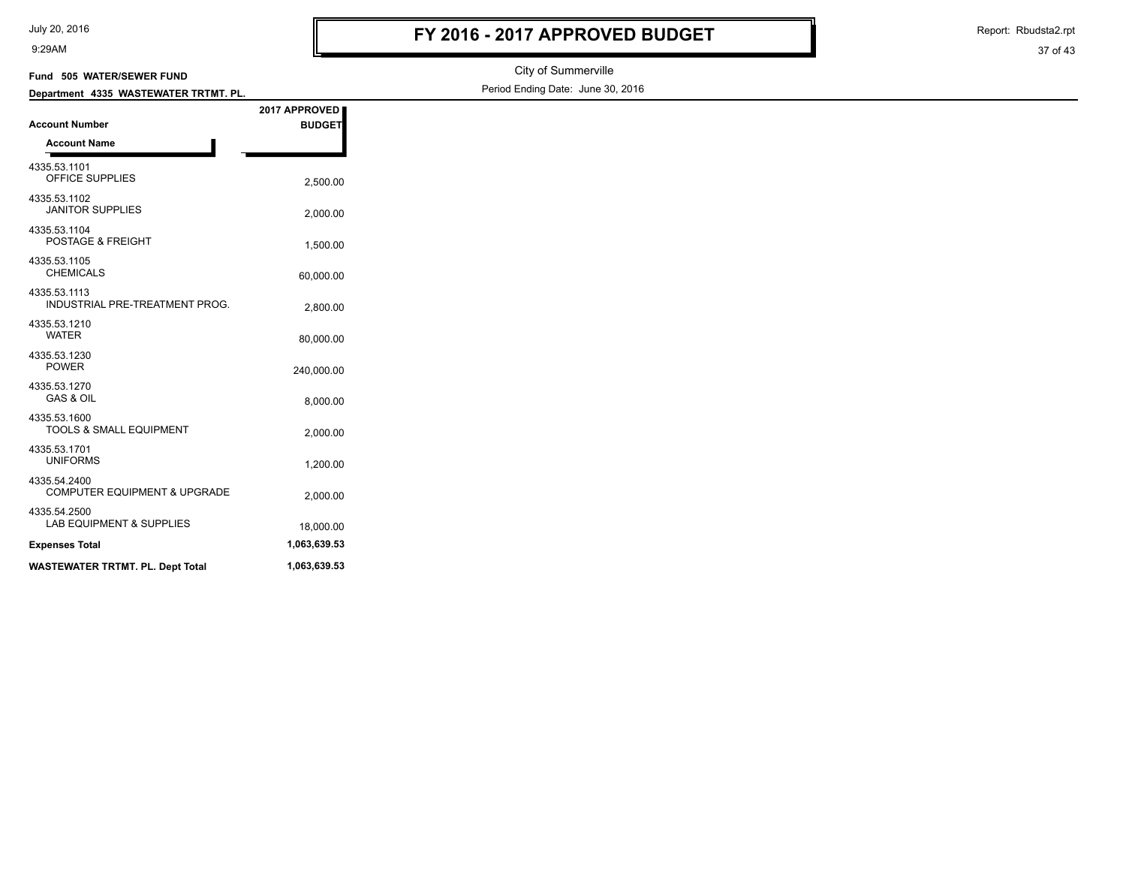| July 20, 2016 |  |  |
|---------------|--|--|
|---------------|--|--|

Report: Rbudsta2.rpt

| Fund 505 WATER/SEWER FUND                      |               | City of Summerville               |
|------------------------------------------------|---------------|-----------------------------------|
| Department 4335 WASTEWATER TRTMT. PL.          |               | Period Ending Date: June 30, 2016 |
|                                                | 2017 APPROVED |                                   |
| <b>Account Number</b>                          | <b>BUDGET</b> |                                   |
| <b>Account Name</b>                            |               |                                   |
| 4335.53.1101<br>OFFICE SUPPLIES                | 2,500.00      |                                   |
| 4335.53.1102<br><b>JANITOR SUPPLIES</b>        | 2,000.00      |                                   |
| 4335.53.1104<br>POSTAGE & FREIGHT              | 1,500.00      |                                   |
| 4335.53.1105<br><b>CHEMICALS</b>               | 60,000.00     |                                   |
| 4335.53.1113<br>INDUSTRIAL PRE-TREATMENT PROG. | 2,800.00      |                                   |
| 4335.53.1210<br><b>WATER</b>                   | 80,000.00     |                                   |
| 4335.53.1230<br><b>POWER</b>                   | 240,000.00    |                                   |
| 4335.53.1270<br><b>GAS &amp; OIL</b>           | 8,000.00      |                                   |
| 4335.53.1600<br>TOOLS & SMALL EQUIPMENT        | 2,000.00      |                                   |
| 4335.53.1701<br><b>UNIFORMS</b>                | 1,200.00      |                                   |
| 4335.54.2400<br>COMPUTER EQUIPMENT & UPGRADE   | 2,000.00      |                                   |
| 4335.54.2500<br>LAB EQUIPMENT & SUPPLIES       | 18,000.00     |                                   |
| <b>Expenses Total</b>                          | 1,063,639.53  |                                   |
| <b>WASTEWATER TRTMT. PL. Dept Total</b>        | 1,063,639.53  |                                   |
|                                                |               |                                   |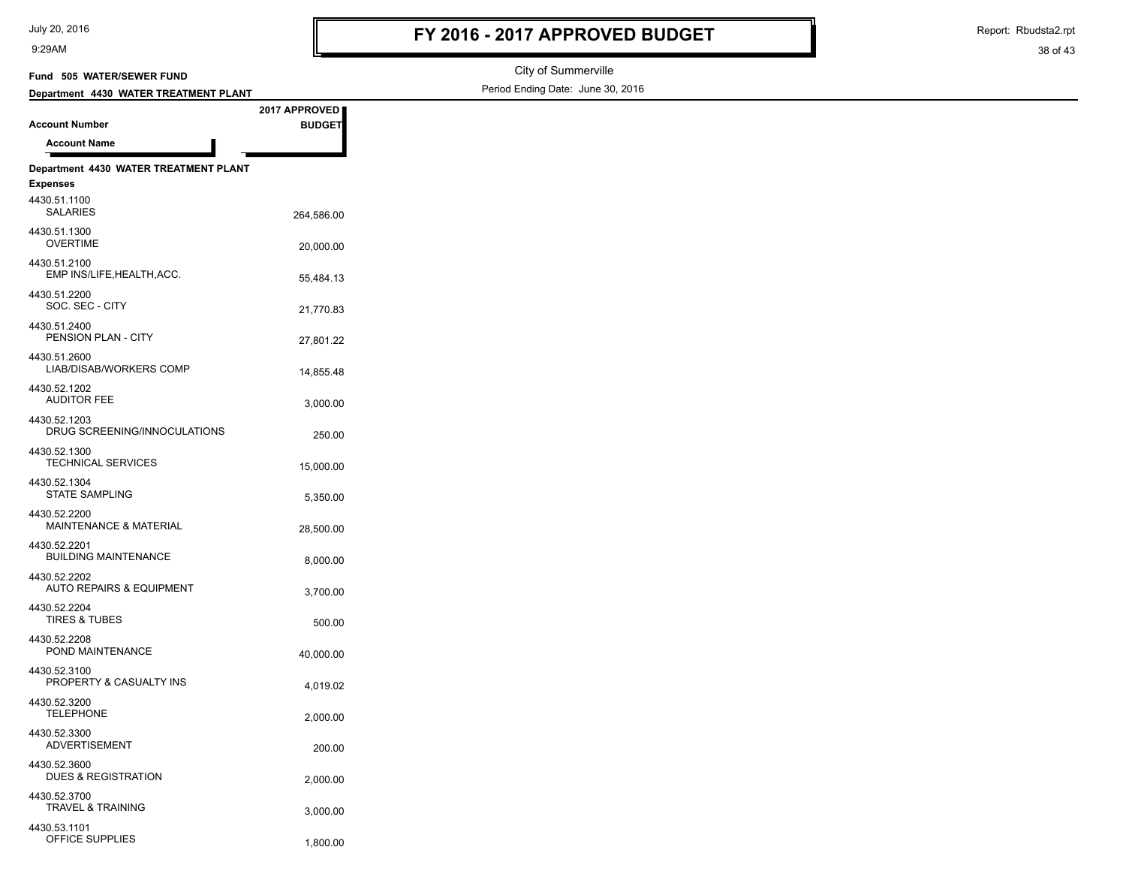Report: Rbudsta2.rpt

| Fund 505 WATER/SEWER FUND                           |               | City of Summerville               |
|-----------------------------------------------------|---------------|-----------------------------------|
| Department 4430 WATER TREATMENT PLANT               |               | Period Ending Date: June 30, 2016 |
|                                                     | 2017 APPROVED |                                   |
| <b>Account Number</b>                               | <b>BUDGET</b> |                                   |
| <b>Account Name</b>                                 |               |                                   |
| Department 4430 WATER TREATMENT PLANT               |               |                                   |
| <b>Expenses</b>                                     |               |                                   |
| 4430.51.1100<br><b>SALARIES</b>                     | 264,586.00    |                                   |
| 4430.51.1300<br><b>OVERTIME</b>                     | 20,000.00     |                                   |
| 4430.51.2100<br>EMP INS/LIFE, HEALTH, ACC.          | 55,484.13     |                                   |
| 4430.51.2200<br>SOC. SEC - CITY                     | 21,770.83     |                                   |
| 4430.51.2400<br>PENSION PLAN - CITY                 | 27,801.22     |                                   |
| 4430.51.2600<br>LIAB/DISAB/WORKERS COMP             | 14,855.48     |                                   |
| 4430.52.1202<br><b>AUDITOR FEE</b>                  | 3,000.00      |                                   |
| 4430.52.1203<br>DRUG SCREENING/INNOCULATIONS        | 250.00        |                                   |
| 4430.52.1300<br>TECHNICAL SERVICES                  | 15,000.00     |                                   |
| 4430.52.1304<br><b>STATE SAMPLING</b>               | 5,350.00      |                                   |
| 4430.52.2200<br><b>MAINTENANCE &amp; MATERIAL</b>   | 28,500.00     |                                   |
| 4430.52.2201<br><b>BUILDING MAINTENANCE</b>         | 8,000.00      |                                   |
| 4430.52.2202<br><b>AUTO REPAIRS &amp; EQUIPMENT</b> | 3,700.00      |                                   |
| 4430.52.2204<br><b>TIRES &amp; TUBES</b>            | 500.00        |                                   |
| 4430.52.2208<br>POND MAINTENANCE                    | 40,000.00     |                                   |
| 4430.52.3100<br>PROPERTY & CASUALTY INS             | 4,019.02      |                                   |
| 4430.52.3200<br><b>TELEPHONE</b>                    | 2,000.00      |                                   |
| 4430.52.3300<br><b>ADVERTISEMENT</b>                | 200.00        |                                   |
| 4430.52.3600<br><b>DUES &amp; REGISTRATION</b>      | 2,000.00      |                                   |
| 4430.52.3700<br><b>TRAVEL &amp; TRAINING</b>        | 3,000.00      |                                   |
| 4430.53.1101<br>OFFICE SUPPLIES                     | 1,800.00      |                                   |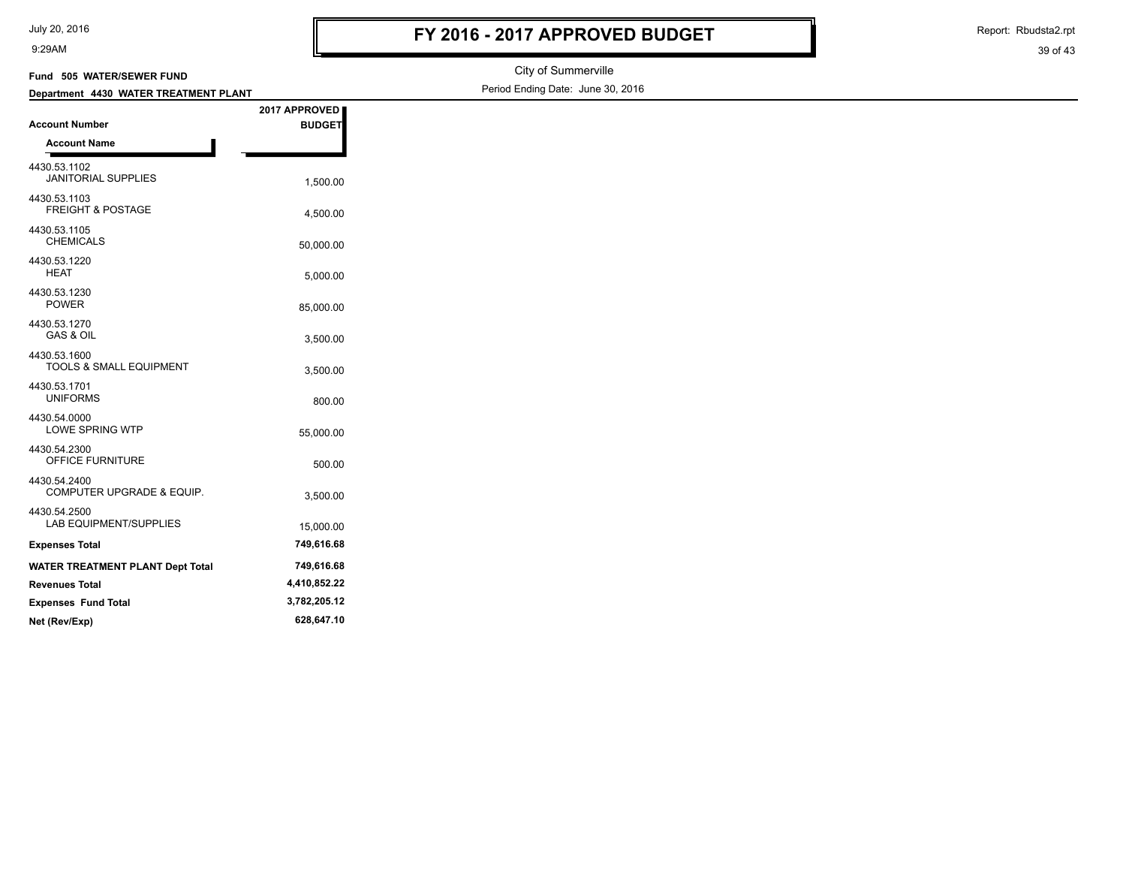| July 20, 2016 |  |  |
|---------------|--|--|
|---------------|--|--|

Report: Rbudsta2.rpt

| Fund 505 WATER/SEWER FUND                    |               | City of Summerville               |
|----------------------------------------------|---------------|-----------------------------------|
| Department 4430 WATER TREATMENT PLANT        |               | Period Ending Date: June 30, 2016 |
|                                              | 2017 APPROVED |                                   |
| <b>Account Number</b>                        | <b>BUDGET</b> |                                   |
| <b>Account Name</b>                          |               |                                   |
| 4430.53.1102<br><b>JANITORIAL SUPPLIES</b>   | 1,500.00      |                                   |
| 4430.53.1103<br><b>FREIGHT &amp; POSTAGE</b> | 4,500.00      |                                   |
| 4430.53.1105<br><b>CHEMICALS</b>             | 50,000.00     |                                   |
| 4430.53.1220<br><b>HEAT</b>                  | 5,000.00      |                                   |
| 4430.53.1230<br><b>POWER</b>                 | 85,000.00     |                                   |
| 4430.53.1270<br>GAS & OIL                    | 3,500.00      |                                   |
| 4430.53.1600<br>TOOLS & SMALL EQUIPMENT      | 3,500.00      |                                   |
| 4430.53.1701<br><b>UNIFORMS</b>              | 800.00        |                                   |
| 4430.54.0000<br><b>LOWE SPRING WTP</b>       | 55,000.00     |                                   |
| 4430.54.2300<br>OFFICE FURNITURE             | 500.00        |                                   |
| 4430.54.2400<br>COMPUTER UPGRADE & EQUIP.    | 3,500.00      |                                   |
| 4430.54.2500<br>LAB EQUIPMENT/SUPPLIES       | 15,000.00     |                                   |
| <b>Expenses Total</b>                        | 749,616.68    |                                   |
| <b>WATER TREATMENT PLANT Dept Total</b>      | 749,616.68    |                                   |
| <b>Revenues Total</b>                        | 4,410,852.22  |                                   |
| <b>Expenses Fund Total</b>                   | 3,782,205.12  |                                   |
| Net (Rev/Exp)                                | 628,647.10    |                                   |
|                                              |               |                                   |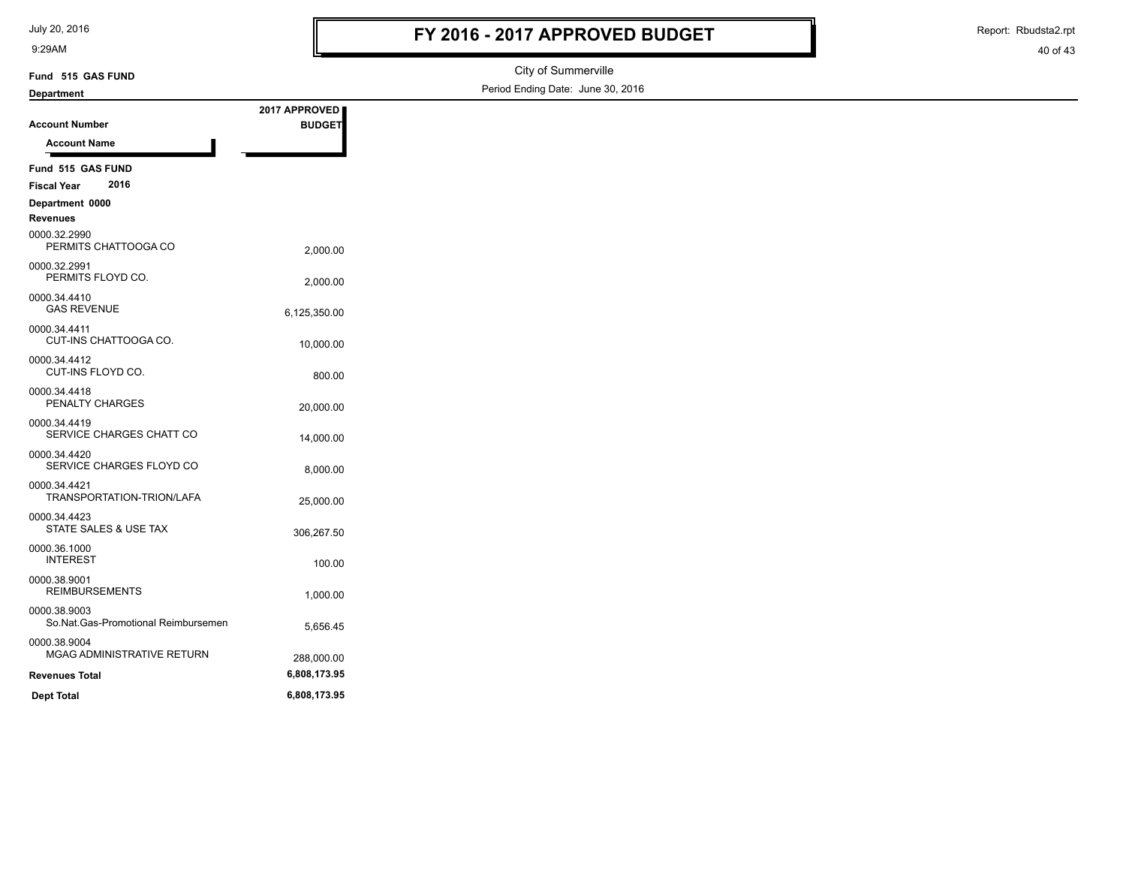July 20, 2016

9:29AM

# **FY 2016 - 2017 APPROVED BUDGET**

Report: Rbudsta2.rpt

| Fund 515 GAS FUND                                   |               | City of Summerville               |
|-----------------------------------------------------|---------------|-----------------------------------|
| <b>Department</b>                                   |               | Period Ending Date: June 30, 2016 |
|                                                     | 2017 APPROVED |                                   |
| <b>Account Number</b>                               | <b>BUDGET</b> |                                   |
| <b>Account Name</b>                                 |               |                                   |
| Fund 515 GAS FUND                                   |               |                                   |
| 2016<br><b>Fiscal Year</b>                          |               |                                   |
| Department 0000<br><b>Revenues</b>                  |               |                                   |
| 0000.32.2990<br>PERMITS CHATTOOGA CO                | 2,000.00      |                                   |
| 0000.32.2991<br>PERMITS FLOYD CO.                   | 2,000.00      |                                   |
| 0000.34.4410<br><b>GAS REVENUE</b>                  | 6,125,350.00  |                                   |
| 0000.34.4411<br>CUT-INS CHATTOOGA CO.               | 10,000.00     |                                   |
| 0000.34.4412<br>CUT-INS FLOYD CO.                   | 800.00        |                                   |
| 0000.34.4418<br>PENALTY CHARGES                     | 20,000.00     |                                   |
| 0000.34.4419<br>SERVICE CHARGES CHATT CO            | 14,000.00     |                                   |
| 0000.34.4420<br>SERVICE CHARGES FLOYD CO            | 8,000.00      |                                   |
| 0000.34.4421<br>TRANSPORTATION-TRION/LAFA           | 25,000.00     |                                   |
| 0000.34.4423<br>STATE SALES & USE TAX               | 306,267.50    |                                   |
| 0000.36.1000<br><b>INTEREST</b>                     | 100.00        |                                   |
| 0000.38.9001<br><b>REIMBURSEMENTS</b>               | 1,000.00      |                                   |
| 0000.38.9003<br>So.Nat.Gas-Promotional Reimbursemen | 5,656.45      |                                   |
| 0000.38.9004<br>MGAG ADMINISTRATIVE RETURN          | 288,000.00    |                                   |
| <b>Revenues Total</b>                               | 6,808,173.95  |                                   |
| <b>Dept Total</b>                                   | 6,808,173.95  |                                   |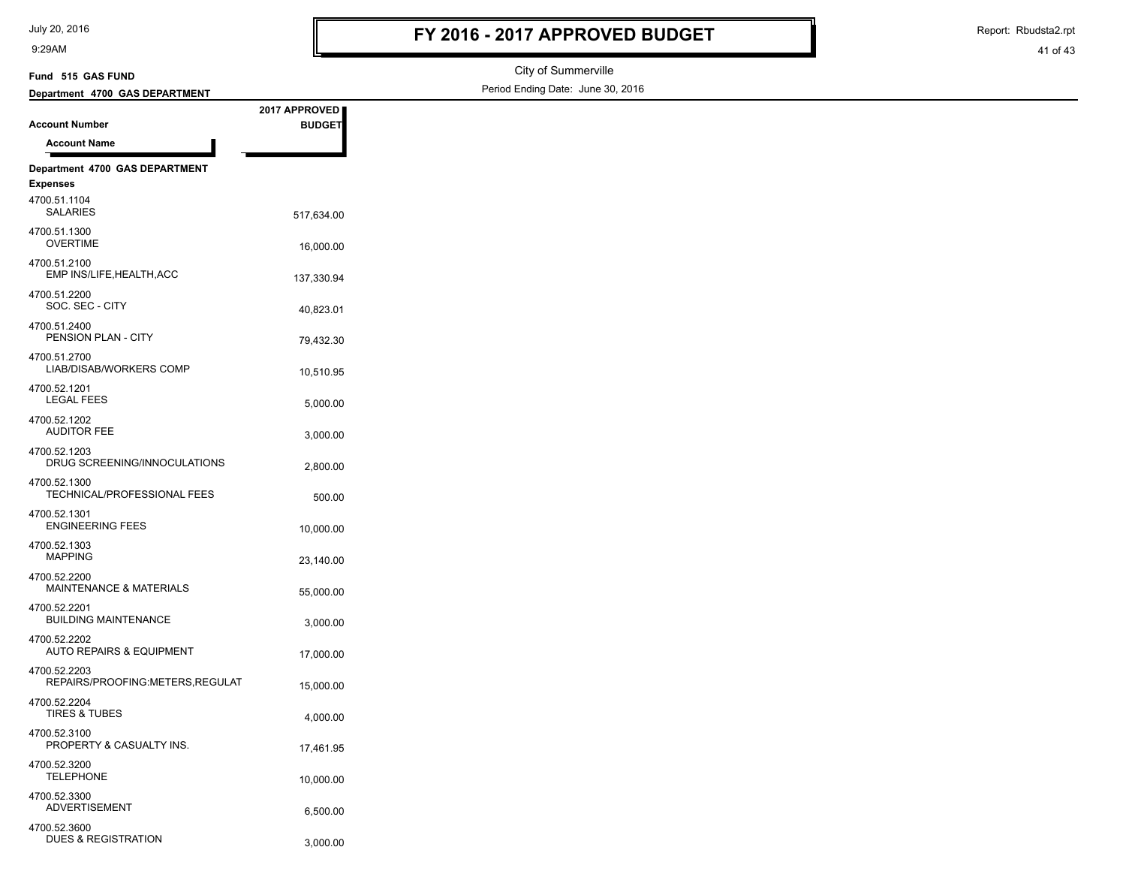| July 20, 2016 |  |
|---------------|--|
|---------------|--|

DUES & REGISTRATION 3,000.00

9:29AM

Report: Rbudsta2.rpt

| Fund 515 GAS FUND                               |                                | City of Summerville               |
|-------------------------------------------------|--------------------------------|-----------------------------------|
| Department 4700 GAS DEPARTMENT                  |                                | Period Ending Date: June 30, 2016 |
| <b>Account Number</b>                           | 2017 APPROVED<br><b>BUDGET</b> |                                   |
| <b>Account Name</b>                             |                                |                                   |
| Department 4700 GAS DEPARTMENT                  |                                |                                   |
| <b>Expenses</b>                                 |                                |                                   |
| 4700.51.1104<br><b>SALARIES</b>                 | 517,634.00                     |                                   |
| 4700.51.1300<br><b>OVERTIME</b>                 | 16,000.00                      |                                   |
| 4700.51.2100<br>EMP INS/LIFE, HEALTH, ACC       | 137,330.94                     |                                   |
| 4700.51.2200<br>SOC. SEC - CITY                 | 40,823.01                      |                                   |
| 4700.51.2400<br>PENSION PLAN - CITY             | 79,432.30                      |                                   |
| 4700.51.2700<br>LIAB/DISAB/WORKERS COMP         | 10,510.95                      |                                   |
| 4700.52.1201<br><b>LEGAL FEES</b>               | 5,000.00                       |                                   |
| 4700.52.1202<br><b>AUDITOR FEE</b>              | 3,000.00                       |                                   |
| 4700.52.1203<br>DRUG SCREENING/INNOCULATIONS    | 2,800.00                       |                                   |
| 4700.52.1300<br>TECHNICAL/PROFESSIONAL FEES     | 500.00                         |                                   |
| 4700.52.1301<br><b>ENGINEERING FEES</b>         | 10,000.00                      |                                   |
| 4700.52.1303<br><b>MAPPING</b>                  | 23,140.00                      |                                   |
| 4700.52.2200<br>MAINTENANCE & MATERIALS         | 55,000.00                      |                                   |
| 4700.52.2201<br><b>BUILDING MAINTENANCE</b>     | 3,000.00                       |                                   |
| 4700.52.2202<br>AUTO REPAIRS & EQUIPMENT        | 17,000.00                      |                                   |
| 4700.52.2203<br>REPAIRS/PROOFING:METERS,REGULAT | 15,000.00                      |                                   |
| 4700.52.2204<br>TIRES & TUBES                   | 4,000.00                       |                                   |
| 4700.52.3100<br>PROPERTY & CASUALTY INS.        | 17,461.95                      |                                   |
| 4700.52.3200<br><b>TELEPHONE</b>                | 10,000.00                      |                                   |
| 4700.52.3300<br>ADVERTISEMENT                   | 6,500.00                       |                                   |
| 4700.52.3600                                    |                                |                                   |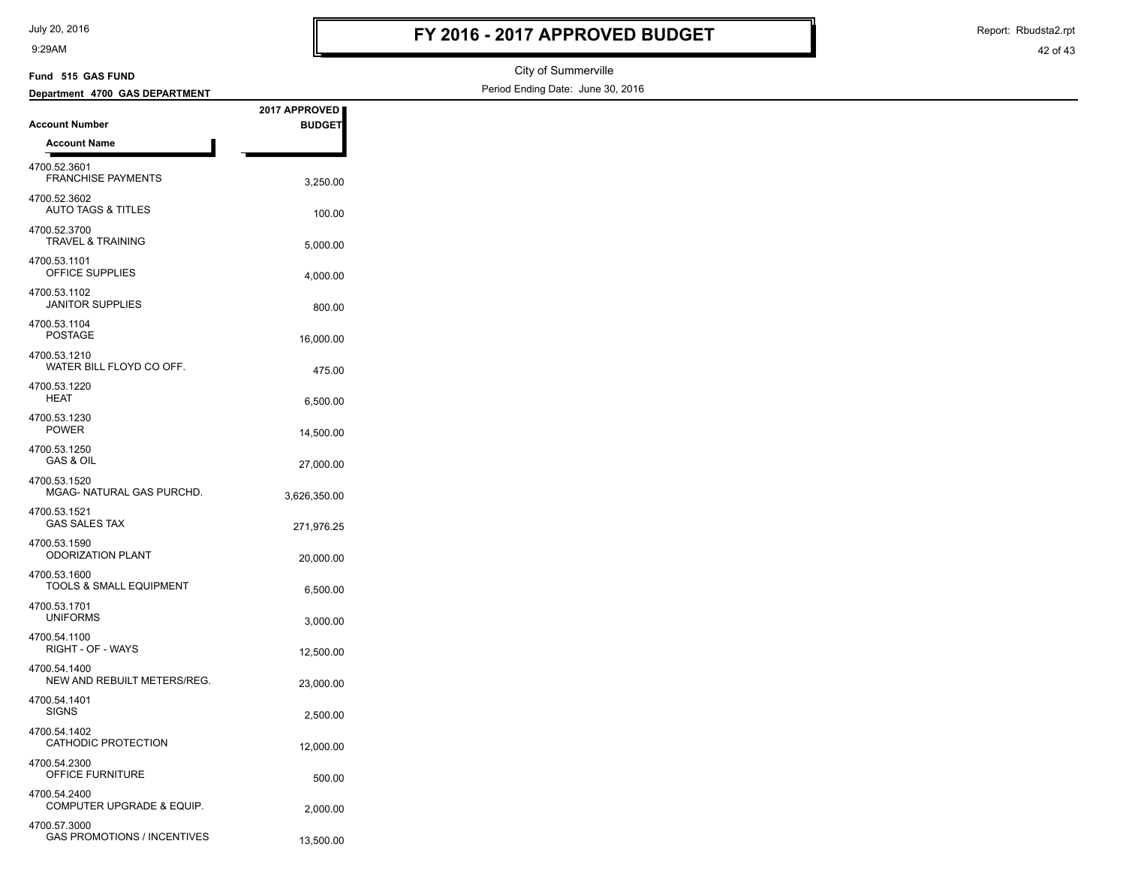| July 20, 2016 |  |
|---------------|--|
|---------------|--|

# **FY 2016 - 2017 APPROVED BUDGET**

Report: Rbudsta2.rpt

| Fund 515 GAS FUND                                  |               | City of Summerville               |
|----------------------------------------------------|---------------|-----------------------------------|
| Department 4700 GAS DEPARTMENT                     |               | Period Ending Date: June 30, 2016 |
|                                                    | 2017 APPROVED |                                   |
| <b>Account Number</b>                              | <b>BUDGET</b> |                                   |
| <b>Account Name</b>                                |               |                                   |
| 4700.52.3601<br>FRANCHISE PAYMENTS                 | 3,250.00      |                                   |
| 4700.52.3602<br><b>AUTO TAGS &amp; TITLES</b>      | 100.00        |                                   |
| 4700.52.3700<br><b>TRAVEL &amp; TRAINING</b>       | 5,000.00      |                                   |
| 4700.53.1101<br>OFFICE SUPPLIES                    | 4,000.00      |                                   |
| 4700.53.1102<br><b>JANITOR SUPPLIES</b>            | 800.00        |                                   |
| 4700.53.1104<br><b>POSTAGE</b>                     | 16,000.00     |                                   |
| 4700.53.1210<br>WATER BILL FLOYD CO OFF.           | 475.00        |                                   |
| 4700.53.1220<br><b>HEAT</b>                        | 6,500.00      |                                   |
| 4700.53.1230<br><b>POWER</b>                       | 14,500.00     |                                   |
| 4700.53.1250<br><b>GAS &amp; OIL</b>               | 27,000.00     |                                   |
| 4700.53.1520<br>MGAG- NATURAL GAS PURCHD.          | 3,626,350.00  |                                   |
| 4700.53.1521<br><b>GAS SALES TAX</b>               | 271,976.25    |                                   |
| 4700.53.1590<br><b>ODORIZATION PLANT</b>           | 20,000.00     |                                   |
| 4700.53.1600<br>TOOLS & SMALL EQUIPMENT            | 6,500.00      |                                   |
| 4700.53.1701<br><b>UNIFORMS</b>                    | 3,000.00      |                                   |
| 4700.54.1100<br>RIGHT - OF - WAYS                  | 12,500.00     |                                   |
| 4700.54.1400<br>NEW AND REBUILT METERS/REG.        | 23,000.00     |                                   |
| 4700.54.1401<br><b>SIGNS</b>                       | 2,500.00      |                                   |
| 4700.54.1402<br>CATHODIC PROTECTION                | 12,000.00     |                                   |
| 4700.54.2300<br>OFFICE FURNITURE                   | 500.00        |                                   |
| 4700.54.2400<br>COMPUTER UPGRADE & EQUIP.          | 2,000.00      |                                   |
| 4700.57.3000<br><b>GAS PROMOTIONS / INCENTIVES</b> | 13,500.00     |                                   |